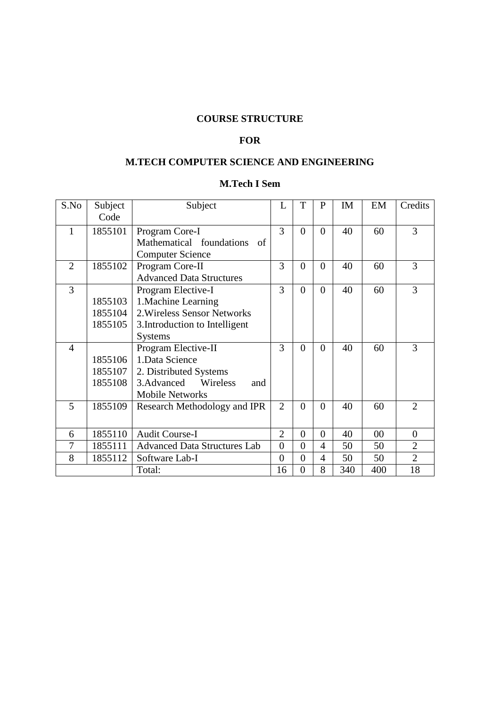# **COURSE STRUCTURE**

# **FOR**

# **M.TECH COMPUTER SCIENCE AND ENGINEERING**

# **M.Tech I Sem**

| S.No           | Subject | Subject                             | L              | T              | P              | IM  | EM     | Credits        |
|----------------|---------|-------------------------------------|----------------|----------------|----------------|-----|--------|----------------|
|                | Code    |                                     |                |                |                |     |        |                |
| 1              | 1855101 | Program Core-I                      | 3              | $\theta$       | $\Omega$       | 40  | 60     | 3              |
|                |         | Mathematical foundations<br>- of    |                |                |                |     |        |                |
|                |         | <b>Computer Science</b>             |                |                |                |     |        |                |
| $\overline{2}$ | 1855102 | Program Core-II                     | 3              | $\overline{0}$ | $\theta$       | 40  | 60     | 3              |
|                |         | <b>Advanced Data Structures</b>     |                |                |                |     |        |                |
| $\overline{3}$ |         | Program Elective-I                  | 3              | $\theta$       | $\theta$       | 40  | 60     | 3              |
|                | 1855103 | 1. Machine Learning                 |                |                |                |     |        |                |
|                | 1855104 | 2. Wireless Sensor Networks         |                |                |                |     |        |                |
|                | 1855105 | 3. Introduction to Intelligent      |                |                |                |     |        |                |
|                |         | <b>Systems</b>                      |                |                |                |     |        |                |
| $\overline{4}$ |         | Program Elective-II                 | 3              | $\theta$       | $\theta$       | 40  | 60     | 3              |
|                | 1855106 | 1. Data Science                     |                |                |                |     |        |                |
|                | 1855107 | 2. Distributed Systems              |                |                |                |     |        |                |
|                | 1855108 | 3. Advanced<br>Wireless<br>and      |                |                |                |     |        |                |
|                |         | <b>Mobile Networks</b>              |                |                |                |     |        |                |
| 5              | 1855109 | Research Methodology and IPR        | $\overline{2}$ | $\theta$       | $\theta$       | 40  | 60     | $\overline{2}$ |
|                |         |                                     |                |                |                |     |        |                |
| 6              | 1855110 | <b>Audit Course-I</b>               | $\overline{2}$ | $\theta$       | $\Omega$       | 40  | $00\,$ | $\theta$       |
| $\overline{7}$ | 1855111 | <b>Advanced Data Structures Lab</b> | $\overline{0}$ | $\theta$       | 4              | 50  | 50     | $\overline{2}$ |
| 8              | 1855112 | Software Lab-I                      | $\overline{0}$ | $\overline{0}$ | $\overline{4}$ | 50  | 50     | $\overline{2}$ |
|                |         | Total:                              | 16             | $\overline{0}$ | 8              | 340 | 400    | 18             |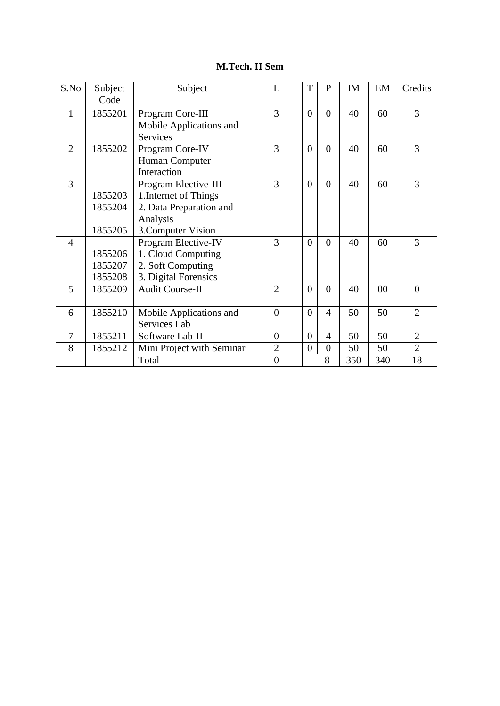# **M.Tech. II Sem**

| S.No           | Subject | Subject                   | L              | T              | P              | IM  | EM  | Credits        |
|----------------|---------|---------------------------|----------------|----------------|----------------|-----|-----|----------------|
|                | Code    |                           |                |                |                |     |     |                |
| 1              | 1855201 | Program Core-III          | 3              | $\overline{0}$ | $\theta$       | 40  | 60  | 3              |
|                |         | Mobile Applications and   |                |                |                |     |     |                |
|                |         | <b>Services</b>           |                |                |                |     |     |                |
| $\overline{2}$ | 1855202 | Program Core-IV           | 3              | $\overline{0}$ | $\theta$       | 40  | 60  | 3              |
|                |         | Human Computer            |                |                |                |     |     |                |
|                |         | Interaction               |                |                |                |     |     |                |
| 3              |         | Program Elective-III      | 3              | $\theta$       | $\Omega$       | 40  | 60  | 3              |
|                | 1855203 | 1. Internet of Things     |                |                |                |     |     |                |
|                | 1855204 | 2. Data Preparation and   |                |                |                |     |     |                |
|                |         | Analysis                  |                |                |                |     |     |                |
|                | 1855205 | 3. Computer Vision        |                |                |                |     |     |                |
| $\overline{4}$ |         | Program Elective-IV       | 3              | $\theta$       | $\theta$       | 40  | 60  | 3              |
|                | 1855206 | 1. Cloud Computing        |                |                |                |     |     |                |
|                | 1855207 | 2. Soft Computing         |                |                |                |     |     |                |
|                | 1855208 | 3. Digital Forensics      |                |                |                |     |     |                |
| 5              | 1855209 | <b>Audit Course-II</b>    | $\overline{2}$ | $\theta$       | $\theta$       | 40  | 00  | $\theta$       |
|                |         |                           |                |                |                |     |     |                |
| 6              | 1855210 | Mobile Applications and   | $\theta$       | $\Omega$       | $\overline{4}$ | 50  | 50  | $\overline{2}$ |
|                |         | Services Lab              |                |                |                |     |     |                |
| $\overline{7}$ | 1855211 | Software Lab-II           | $\overline{0}$ | $\overline{0}$ | $\overline{4}$ | 50  | 50  | $\overline{2}$ |
| 8              | 1855212 | Mini Project with Seminar | $\overline{2}$ | $\overline{0}$ | $\overline{0}$ | 50  | 50  | $\overline{2}$ |
|                |         | Total                     | $\overline{0}$ |                | 8              | 350 | 340 | 18             |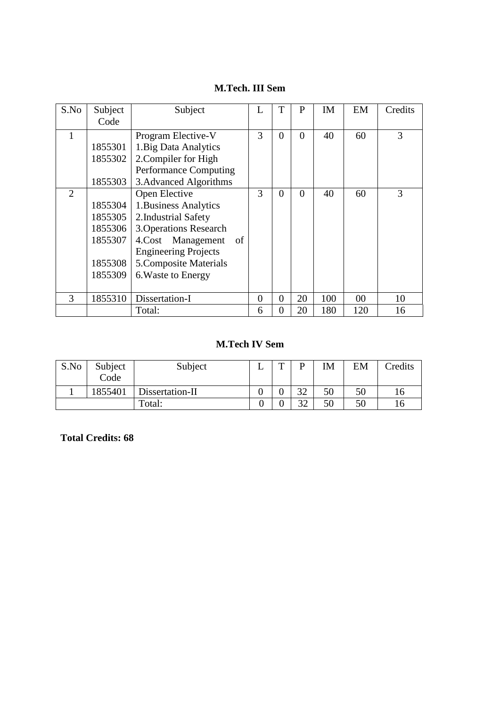### **M.Tech. III Sem**

| S.No           | Subject | Subject                            | L        | T              | P        | IM  | EM  | Credits |
|----------------|---------|------------------------------------|----------|----------------|----------|-----|-----|---------|
|                | Code    |                                    |          |                |          |     |     |         |
|                |         | Program Elective-V                 | 3        | $\overline{0}$ | $\Omega$ | 40  | 60  | 3       |
|                | 1855301 | 1. Big Data Analytics              |          |                |          |     |     |         |
|                | 1855302 | 2. Compiler for High               |          |                |          |     |     |         |
|                |         | <b>Performance Computing</b>       |          |                |          |     |     |         |
|                | 1855303 | 3. Advanced Algorithms             |          |                |          |     |     |         |
| $\overline{2}$ |         | Open Elective                      | 3        | $\Omega$       | $\Omega$ | 40  | 60  | 3       |
|                | 1855304 | 1. Business Analytics              |          |                |          |     |     |         |
|                | 1855305 | 2. Industrial Safety               |          |                |          |     |     |         |
|                | 1855306 | <b>3. Operations Research</b>      |          |                |          |     |     |         |
|                | 1855307 | 4.Cost Management<br><sub>of</sub> |          |                |          |     |     |         |
|                |         | <b>Engineering Projects</b>        |          |                |          |     |     |         |
|                | 1855308 | 5. Composite Materials             |          |                |          |     |     |         |
|                | 1855309 | 6. Waste to Energy                 |          |                |          |     |     |         |
|                |         |                                    |          |                |          |     |     |         |
| 3              | 1855310 | Dissertation-I                     | $\theta$ | $\Omega$       | 20       | 100 | 00  | 10      |
|                |         | Total:                             | 6        | $\theta$       | 20       | 180 | 120 | 16      |

# **M.Tech IV Sem**

| S.No | Subject<br>Code | Subject         | ∸ | m | D              | IM | EM | <b>Tredits</b> |
|------|-----------------|-----------------|---|---|----------------|----|----|----------------|
|      | 1855401         | Dissertation-II |   |   | 32             | 50 | 50 |                |
|      |                 | Total:          |   |   | $\mathfrak{D}$ | 50 | 50 |                |

**Total Credits: 68**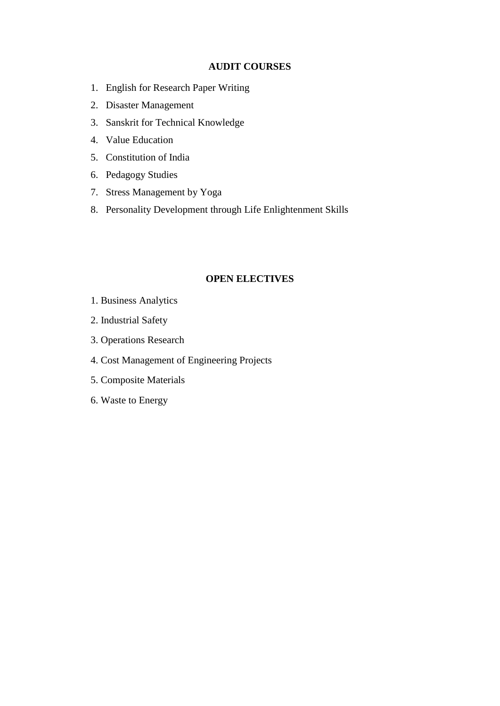#### **AUDIT COURSES**

- 1. English for Research Paper Writing
- 2. Disaster Management
- 3. Sanskrit for Technical Knowledge
- 4. Value Education
- 5. Constitution of India
- 6. Pedagogy Studies
- 7. Stress Management by Yoga
- 8. Personality Development through Life Enlightenment Skills

#### **OPEN ELECTIVES**

- 1. Business Analytics
- 2. Industrial Safety
- 3. Operations Research
- 4. Cost Management of Engineering Projects
- 5. Composite Materials
- 6. Waste to Energy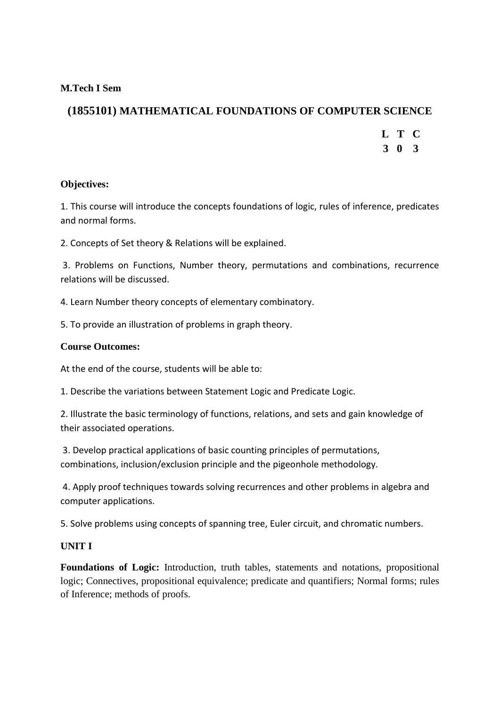### **M.Tech I Sem**

# **(1855101) MATHEMATICAL FOUNDATIONS OF COMPUTER SCIENCE**

- **L T C**
- **3 0 3**

#### **Objectives:**

1. This course will introduce the concepts foundations of logic, rules of inference, predicates and normal forms.

2. Concepts of Set theory & Relations will be explained.

3. Problems on Functions, Number theory, permutations and combinations, recurrence relations will be discussed.

4. Learn Number theory concepts of elementary combinatory.

5. To provide an illustration of problems in graph theory.

#### **Course Outcomes:**

At the end of the course, students will be able to:

1. Describe the variations between Statement Logic and Predicate Logic.

2. Illustrate the basic terminology of functions, relations, and sets and gain knowledge of their associated operations.

3. Develop practical applications of basic counting principles of permutations, combinations, inclusion/exclusion principle and the pigeonhole methodology.

4. Apply proof techniques towards solving recurrences and other problems in algebra and computer applications.

5. Solve problems using concepts of spanning tree, Euler circuit, and chromatic numbers.

#### **UNIT I**

**Foundations of Logic:** Introduction, truth tables, statements and notations, propositional logic; Connectives, propositional equivalence; predicate and quantifiers; Normal forms; rules of Inference; methods of proofs.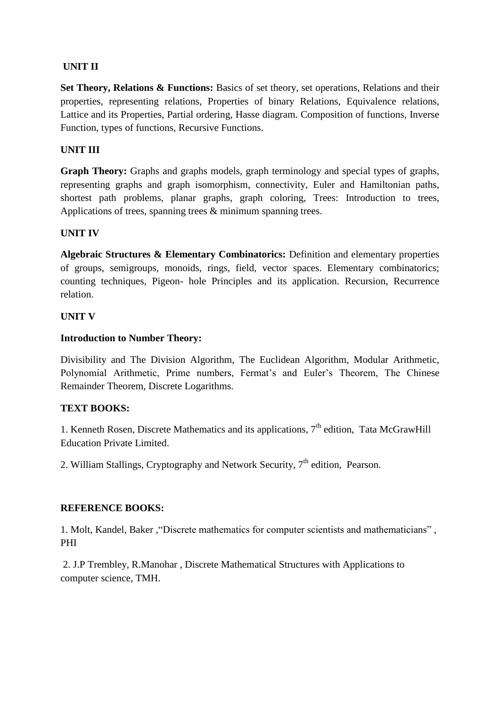### **UNIT II**

**Set Theory, Relations & Functions:** Basics of set theory, set operations, Relations and their properties, representing relations, Properties of binary Relations, Equivalence relations, Lattice and its Properties, Partial ordering, Hasse diagram. Composition of functions, Inverse Function, types of functions, Recursive Functions.

### **UNIT III**

**Graph Theory:** Graphs and graphs models, graph terminology and special types of graphs, representing graphs and graph isomorphism, connectivity, Euler and Hamiltonian paths, shortest path problems, planar graphs, graph coloring, Trees: Introduction to trees, Applications of trees, spanning trees & minimum spanning trees.

#### **UNIT IV**

**Algebraic Structures & Elementary Combinatorics:** Definition and elementary properties of groups, semigroups, monoids, rings, field, vector spaces. Elementary combinatorics; counting techniques, Pigeon- hole Principles and its application. Recursion, Recurrence relation.

#### **UNIT V**

#### **Introduction to Number Theory:**

Divisibility and The Division Algorithm, The Euclidean Algorithm, Modular Arithmetic, Polynomial Arithmetic, Prime numbers, Fermat's and Euler's Theorem, The Chinese Remainder Theorem, Discrete Logarithms.

#### **TEXT BOOKS:**

1. Kenneth Rosen, Discrete Mathematics and its applications,  $7<sup>th</sup>$  edition, Tata McGrawHill Education Private Limited.

2. William Stallings, Cryptography and Network Security,  $7<sup>th</sup>$  edition, Pearson.

#### **REFERENCE BOOKS:**

1. Molt, Kandel, Baker ,"Discrete mathematics for computer scientists and mathematicians" , PHI

2. J.P Trembley, R.Manohar , Discrete Mathematical Structures with Applications to computer science, TMH.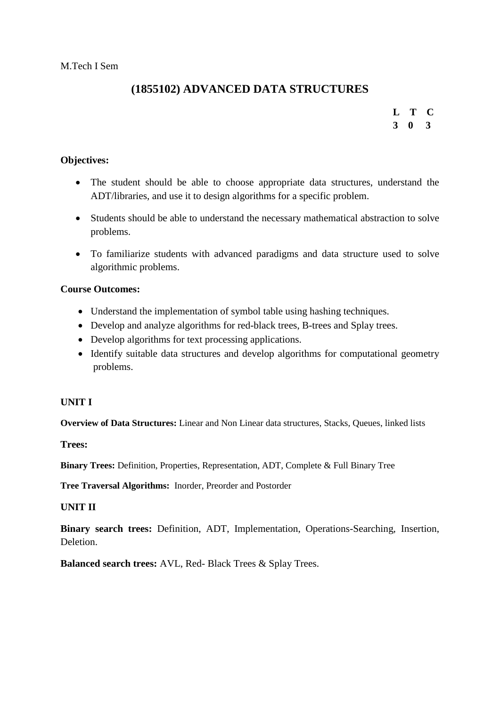# **(1855102) ADVANCED DATA STRUCTURES**

# **L T C 3 0 3**

#### **Objectives:**

- The student should be able to choose appropriate data structures, understand the ADT/libraries, and use it to design algorithms for a specific problem.
- Students should be able to understand the necessary mathematical abstraction to solve problems.
- To familiarize students with advanced paradigms and data structure used to solve algorithmic problems.

#### **Course Outcomes:**

- Understand the implementation of symbol table using hashing techniques.
- Develop and analyze algorithms for red-black trees, B-trees and Splay trees.
- Develop algorithms for text processing applications.
- Identify suitable data structures and develop algorithms for computational geometry problems.

#### **UNIT I**

**Overview of Data Structures:** Linear and Non Linear data structures, Stacks, Queues, linked lists

**Trees:** 

**Binary Trees:** Definition, Properties, Representation, ADT, Complete & Full Binary Tree

**Tree Traversal Algorithms:** Inorder, Preorder and Postorder

#### **UNIT II**

**Binary search trees:** Definition, ADT, Implementation, Operations-Searching, Insertion, **Deletion** 

**Balanced search trees:** AVL, Red- Black Trees & Splay Trees.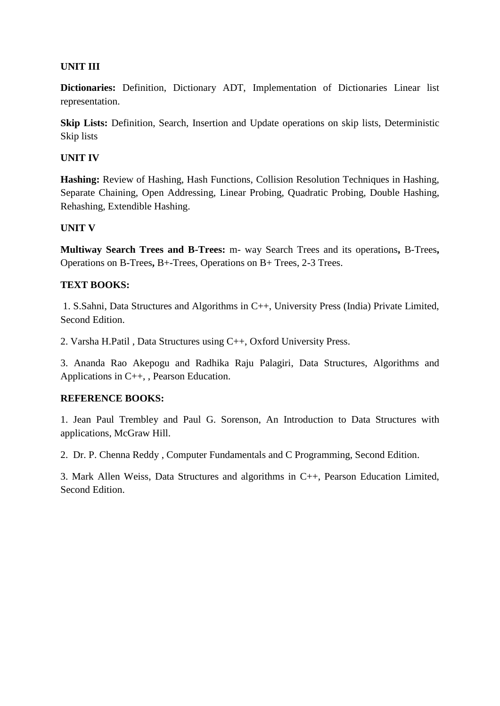## **UNIT III**

**Dictionaries:** Definition, Dictionary ADT, Implementation of Dictionaries Linear list representation.

**Skip Lists:** Definition, Search, Insertion and Update operations on skip lists, Deterministic Skip lists

#### **UNIT IV**

**Hashing:** Review of Hashing, Hash Functions, Collision Resolution Techniques in Hashing, Separate Chaining, Open Addressing, Linear Probing, Quadratic Probing, Double Hashing, Rehashing, Extendible Hashing.

#### **UNIT V**

**Multiway Search Trees and B-Trees:** m- way Search Trees and its operations**,** B-Trees**,**  Operations on B-Trees**,** B+-Trees, Operations on B+ Trees, 2-3 Trees.

#### **TEXT BOOKS:**

1. S.Sahni, Data Structures and Algorithms in C++, University Press (India) Private Limited, Second Edition.

2. Varsha H.Patil , Data Structures using C++, Oxford University Press.

3. Ananda Rao Akepogu and Radhika Raju Palagiri, Data Structures, Algorithms and Applications in C++, , Pearson Education.

#### **REFERENCE BOOKS:**

1. Jean Paul Trembley and Paul G. Sorenson, An Introduction to Data Structures with applications, McGraw Hill.

2. Dr. P. Chenna Reddy , Computer Fundamentals and C Programming, Second Edition.

3. Mark Allen Weiss, Data Structures and algorithms in C++, Pearson Education Limited, Second Edition.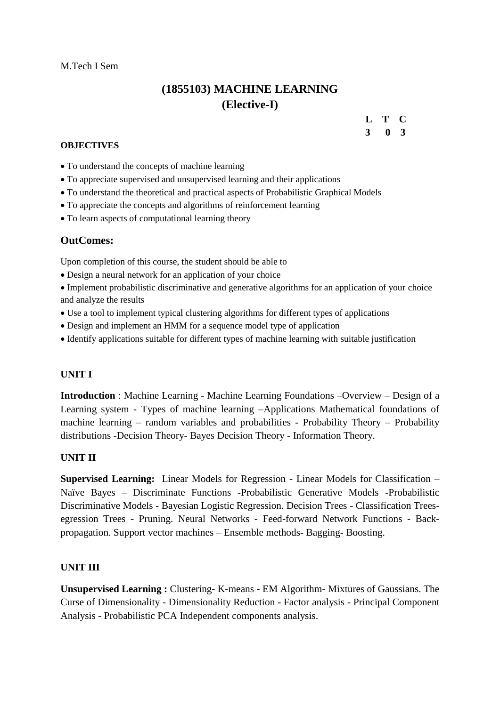#### M.Tech I Sem

# **(1855103) MACHINE LEARNING (Elective-I)**

#### **L T C 3 0 3**

#### **OBJECTIVES**

- To understand the concepts of machine learning
- To appreciate supervised and unsupervised learning and their applications
- To understand the theoretical and practical aspects of Probabilistic Graphical Models
- To appreciate the concepts and algorithms of reinforcement learning
- To learn aspects of computational learning theory

#### **OutComes:**

Upon completion of this course, the student should be able to

Design a neural network for an application of your choice

 Implement probabilistic discriminative and generative algorithms for an application of your choice and analyze the results

- Use a tool to implement typical clustering algorithms for different types of applications
- Design and implement an HMM for a sequence model type of application
- Identify applications suitable for different types of machine learning with suitable justification

#### **UNIT I**

**Introduction** : Machine Learning - Machine Learning Foundations –Overview – Design of a Learning system - Types of machine learning –Applications Mathematical foundations of machine learning – random variables and probabilities - Probability Theory – Probability distributions -Decision Theory- Bayes Decision Theory - Information Theory.

#### **UNIT II**

**Supervised Learning:** Linear Models for Regression - Linear Models for Classification – Naïve Bayes – Discriminate Functions -Probabilistic Generative Models -Probabilistic Discriminative Models - Bayesian Logistic Regression. Decision Trees - Classification Treesegression Trees - Pruning. Neural Networks - Feed-forward Network Functions - Backpropagation. Support vector machines – Ensemble methods- Bagging- Boosting.

#### **UNIT III**

**Unsupervised Learning :** Clustering- K-means - EM Algorithm- Mixtures of Gaussians. The Curse of Dimensionality - Dimensionality Reduction - Factor analysis - Principal Component Analysis - Probabilistic PCA Independent components analysis.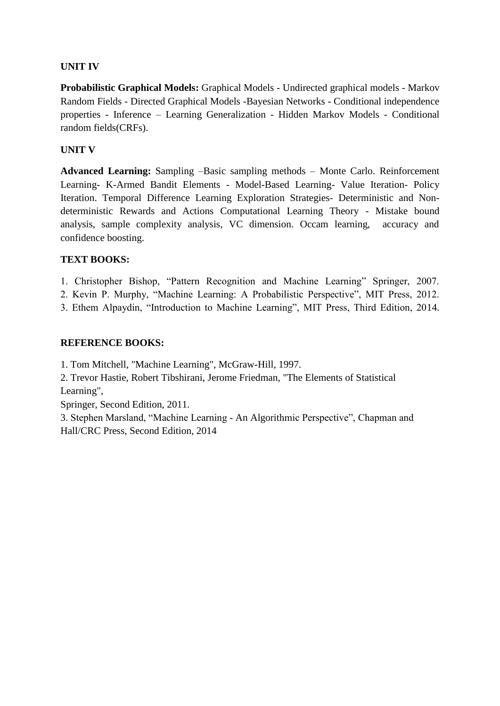## **UNIT IV**

**Probabilistic Graphical Models:** Graphical Models - Undirected graphical models - Markov Random Fields - Directed Graphical Models -Bayesian Networks - Conditional independence properties - Inference – Learning Generalization - Hidden Markov Models - Conditional random fields(CRFs).

## **UNIT V**

**Advanced Learning:** Sampling –Basic sampling methods – Monte Carlo. Reinforcement Learning- K-Armed Bandit Elements - Model-Based Learning- Value Iteration- Policy Iteration. Temporal Difference Learning Exploration Strategies- Deterministic and Nondeterministic Rewards and Actions Computational Learning Theory - Mistake bound analysis, sample complexity analysis, VC dimension. Occam learning, accuracy and confidence boosting.

## **TEXT BOOKS:**

1. Christopher Bishop, "Pattern Recognition and Machine Learning" Springer, 2007.

2. Kevin P. Murphy, "Machine Learning: A Probabilistic Perspective", MIT Press, 2012.

3. Ethem Alpaydin, "Introduction to Machine Learning", MIT Press, Third Edition, 2014.

## **REFERENCE BOOKS:**

1. Tom Mitchell, "Machine Learning", McGraw-Hill, 1997.

2. Trevor Hastie, Robert Tibshirani, Jerome Friedman, "The Elements of Statistical Learning",

Springer, Second Edition, 2011.

3. Stephen Marsland, "Machine Learning - An Algorithmic Perspective", Chapman and Hall/CRC Press, Second Edition, 2014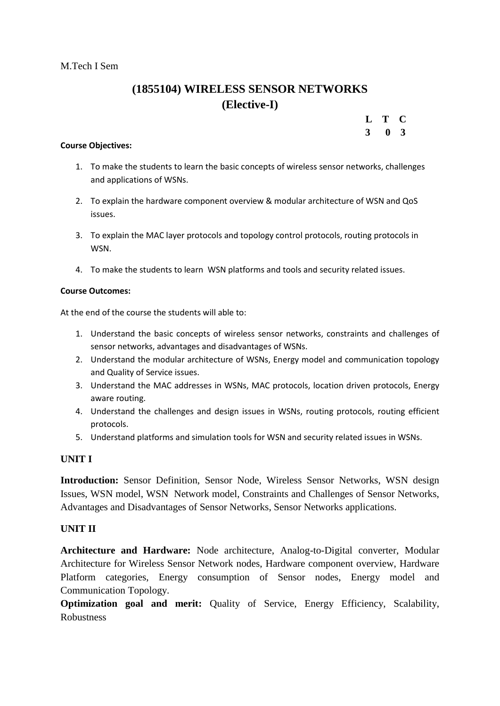# **(1855104) WIRELESS SENSOR NETWORKS (Elective-I)**

| L | T            | C. |
|---|--------------|----|
| 3 | $\mathbf{0}$ | 3  |

#### **Course Objectives:**

- 1. To make the students to learn the basic concepts of wireless sensor networks, challenges and applications of WSNs.
- 2. To explain the hardware component overview & modular architecture of WSN and QoS issues.
- 3. To explain the MAC layer protocols and topology control protocols, routing protocols in WSN.
- 4. To make the students to learn WSN platforms and tools and security related issues.

#### **Course Outcomes:**

At the end of the course the students will able to:

- 1. Understand the basic concepts of wireless sensor networks, constraints and challenges of sensor networks, advantages and disadvantages of WSNs.
- 2. Understand the modular architecture of WSNs, Energy model and communication topology and Quality of Service issues.
- 3. Understand the MAC addresses in WSNs, MAC protocols, location driven protocols, Energy aware routing.
- 4. Understand the challenges and design issues in WSNs, routing protocols, routing efficient protocols.
- 5. Understand platforms and simulation tools for WSN and security related issues in WSNs.

#### **UNIT I**

**Introduction:** Sensor Definition, Sensor Node, Wireless Sensor Networks, WSN design Issues, WSN model, WSN Network model, Constraints and Challenges of Sensor Networks, Advantages and Disadvantages of Sensor Networks, Sensor Networks applications.

#### **UNIT II**

**Architecture and Hardware:** Node architecture, Analog-to-Digital converter, Modular Architecture for Wireless Sensor Network nodes, Hardware component overview, Hardware Platform categories, Energy consumption of Sensor nodes, Energy model and Communication Topology.

**Optimization goal and merit:** Quality of Service, Energy Efficiency, Scalability, Robustness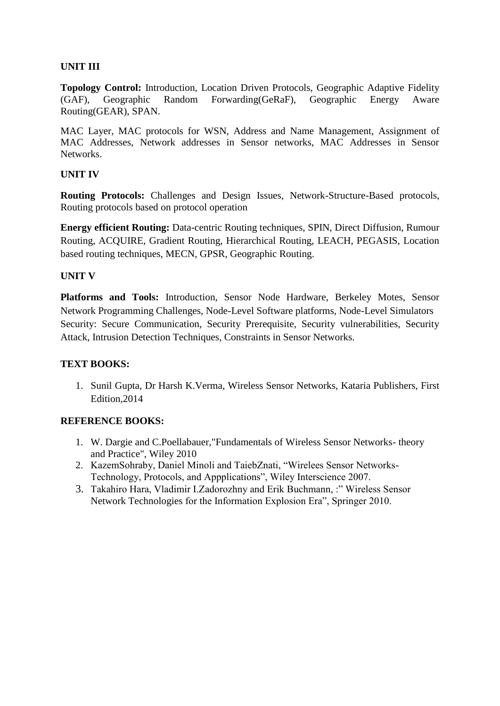## **UNIT III**

**Topology Control:** Introduction, Location Driven Protocols, Geographic Adaptive Fidelity (GAF), Geographic Random Forwarding(GeRaF), Geographic Energy Aware Routing(GEAR), SPAN.

MAC Layer, MAC protocols for WSN, Address and Name Management, Assignment of MAC Addresses, Network addresses in Sensor networks, MAC Addresses in Sensor Networks.

#### **UNIT IV**

**Routing Protocols:** Challenges and Design Issues, Network-Structure-Based protocols, Routing protocols based on protocol operation

**Energy efficient Routing:** Data-centric Routing techniques, SPIN, Direct Diffusion, Rumour Routing, ACQUIRE, Gradient Routing, Hierarchical Routing, LEACH, PEGASIS, Location based routing techniques, MECN, GPSR, Geographic Routing.

#### **UNIT V**

**Platforms and Tools:** Introduction, Sensor Node Hardware, Berkeley Motes, Sensor Network Programming Challenges, Node-Level Software platforms, Node-Level Simulators Security: Secure Communication, Security Prerequisite, Security vulnerabilities, Security Attack, Intrusion Detection Techniques, Constraints in Sensor Networks.

#### **TEXT BOOKS:**

1. Sunil Gupta, Dr Harsh K.Verma, Wireless Sensor Networks, Kataria Publishers, First Edition,2014

#### **REFERENCE BOOKS:**

- 1. W. Dargie and C.Poellabauer,"Fundamentals of Wireless Sensor Networks- theory and Practice", Wiley 2010
- 2. KazemSohraby, Daniel Minoli and TaiebZnati, "Wirelees Sensor Networks-Technology, Protocols, and Appplications", Wiley Interscience 2007.
- 3. Takahiro Hara, Vladimir I.Zadorozhny and Erik Buchmann, :" Wireless Sensor Network Technologies for the Information Explosion Era", Springer 2010.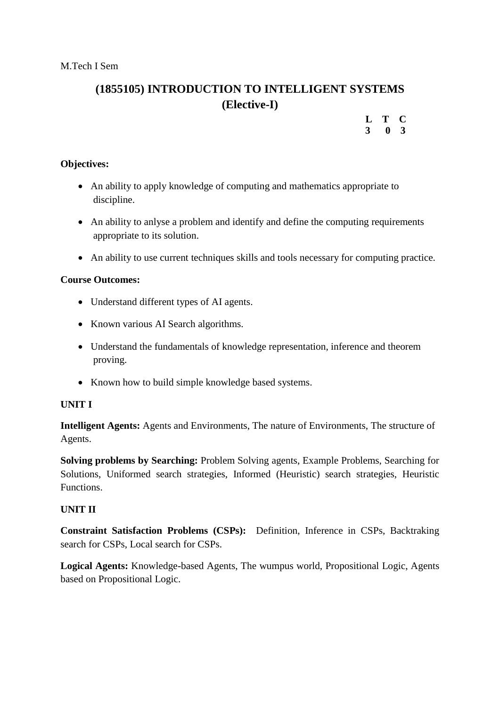# **(1855105) INTRODUCTION TO INTELLIGENT SYSTEMS (Elective-I)**

#### **L T C 3 0 3**

#### **Objectives:**

- An ability to apply knowledge of computing and mathematics appropriate to discipline.
- An ability to anlyse a problem and identify and define the computing requirements appropriate to its solution.
- An ability to use current techniques skills and tools necessary for computing practice.

#### **Course Outcomes:**

- Understand different types of AI agents.
- Known various AI Search algorithms.
- Understand the fundamentals of knowledge representation, inference and theorem proving.
- Known how to build simple knowledge based systems.

#### **UNIT I**

**Intelligent Agents:** Agents and Environments, The nature of Environments, The structure of Agents.

**Solving problems by Searching:** Problem Solving agents, Example Problems, Searching for Solutions, Uniformed search strategies, Informed (Heuristic) search strategies, Heuristic Functions.

#### **UNIT II**

**Constraint Satisfaction Problems (CSPs):** Definition, Inference in CSPs, Backtraking search for CSPs, Local search for CSPs.

**Logical Agents:** Knowledge-based Agents, The wumpus world, Propositional Logic, Agents based on Propositional Logic.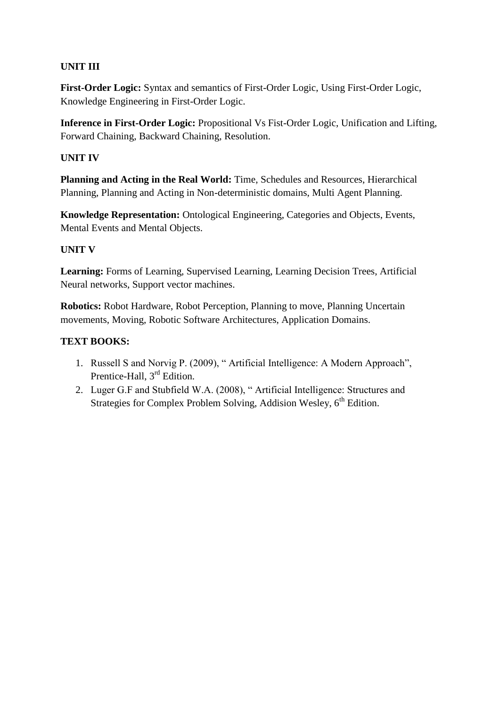## **UNIT III**

**First-Order Logic:** Syntax and semantics of First-Order Logic, Using First-Order Logic, Knowledge Engineering in First-Order Logic.

**Inference in First-Order Logic:** Propositional Vs Fist-Order Logic, Unification and Lifting, Forward Chaining, Backward Chaining, Resolution.

### **UNIT IV**

**Planning and Acting in the Real World:** Time, Schedules and Resources, Hierarchical Planning, Planning and Acting in Non-deterministic domains, Multi Agent Planning.

**Knowledge Representation:** Ontological Engineering, Categories and Objects, Events, Mental Events and Mental Objects.

#### **UNIT V**

**Learning:** Forms of Learning, Supervised Learning, Learning Decision Trees, Artificial Neural networks, Support vector machines.

**Robotics:** Robot Hardware, Robot Perception, Planning to move, Planning Uncertain movements, Moving, Robotic Software Architectures, Application Domains.

## **TEXT BOOKS:**

- 1. Russell S and Norvig P. (2009), " Artificial Intelligence: A Modern Approach", Prentice-Hall, 3rd Edition.
- 2. Luger G.F and Stubfield W.A. (2008), " Artificial Intelligence: Structures and Strategies for Complex Problem Solving, Addision Wesley, 6<sup>th</sup> Edition.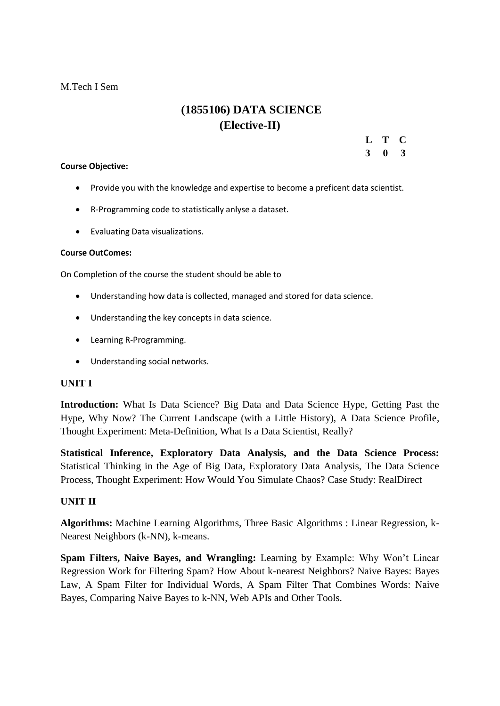#### M.Tech I Sem

# **(1855106) DATA SCIENCE (Elective-II)**

**L T C**

**3 0 3**

#### **Course Objective:**

- Provide you with the knowledge and expertise to become a preficent data scientist.
- R-Programming code to statistically anlyse a dataset.
- Evaluating Data visualizations.

#### **Course OutComes:**

On Completion of the course the student should be able to

- Understanding how data is collected, managed and stored for data science.
- Understanding the key concepts in data science.
- Learning R-Programming.
- Understanding social networks.

#### **UNIT I**

**Introduction:** What Is Data Science? Big Data and Data Science Hype, Getting Past the Hype, Why Now? The Current Landscape (with a Little History), A Data Science Profile, Thought Experiment: Meta-Definition, What Is a Data Scientist, Really?

**Statistical Inference, Exploratory Data Analysis, and the Data Science Process:** Statistical Thinking in the Age of Big Data, Exploratory Data Analysis, The Data Science Process, Thought Experiment: How Would You Simulate Chaos? Case Study: RealDirect

#### **UNIT II**

**Algorithms:** Machine Learning Algorithms, Three Basic Algorithms : Linear Regression, k-Nearest Neighbors (k-NN), k-means.

**Spam Filters, Naive Bayes, and Wrangling:** Learning by Example: Why Won"t Linear Regression Work for Filtering Spam? How About k-nearest Neighbors? Naive Bayes: Bayes Law, A Spam Filter for Individual Words, A Spam Filter That Combines Words: Naive Bayes, Comparing Naive Bayes to k-NN, Web APIs and Other Tools.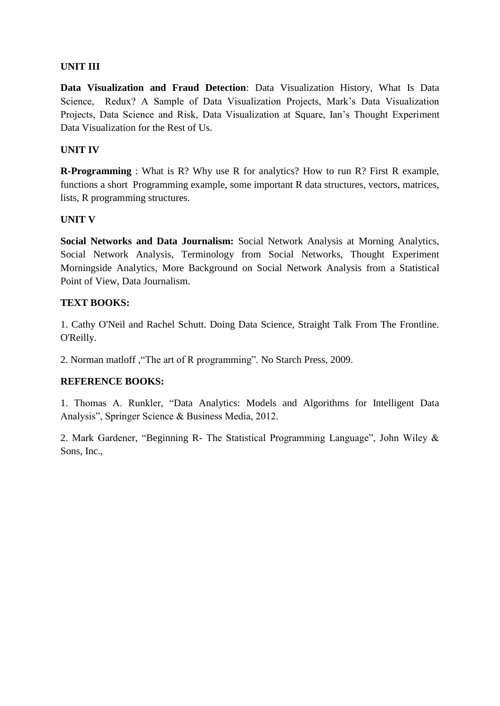### **UNIT III**

**Data Visualization and Fraud Detection**: Data Visualization History, What Is Data Science, Redux? A Sample of Data Visualization Projects, Mark's Data Visualization Projects, Data Science and Risk, Data Visualization at Square, Ian"s Thought Experiment Data Visualization for the Rest of Us.

#### **UNIT IV**

**R-Programming** : What is R? Why use R for analytics? How to run R? First R example, functions a short Programming example, some important R data structures, vectors, matrices, lists, R programming structures.

## **UNIT V**

**Social Networks and Data Journalism:** Social Network Analysis at Morning Analytics, Social Network Analysis, Terminology from Social Networks, Thought Experiment Morningside Analytics, More Background on Social Network Analysis from a Statistical Point of View, Data Journalism.

## **TEXT BOOKS:**

1. Cathy O'Neil and Rachel Schutt. Doing Data Science, Straight Talk From The Frontline. O'Reilly.

2. Norman matloff ,"The art of R programming". No Starch Press, 2009.

# **REFERENCE BOOKS:**

1. Thomas A. Runkler, "Data Analytics: Models and Algorithms for Intelligent Data Analysis", Springer Science & Business Media, 2012.

2. Mark Gardener, "Beginning R- The Statistical Programming Language", John Wiley & Sons, Inc.,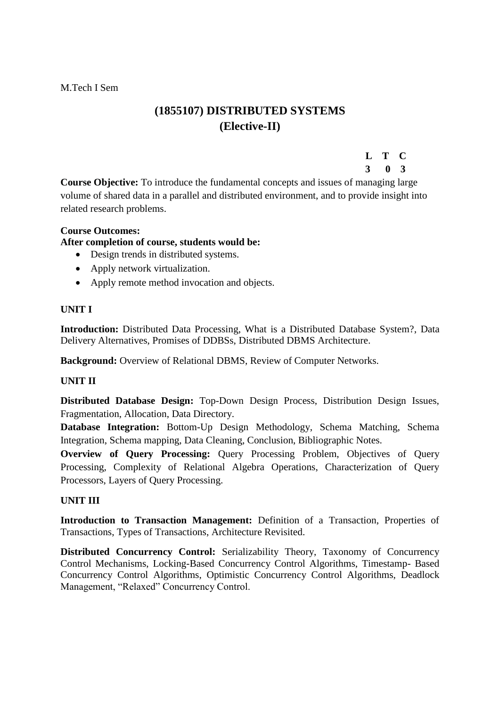M.Tech I Sem

# **(1855107) DISTRIBUTED SYSTEMS (Elective-II)**

# **L T C**

#### **3 0 3**

**Course Objective:** To introduce the fundamental concepts and issues of managing large volume of shared data in a parallel and distributed environment, and to provide insight into related research problems.

#### **Course Outcomes:**

#### **After completion of course, students would be:**

- Design trends in distributed systems.
- Apply network virtualization.
- Apply remote method invocation and objects.

#### **UNIT I**

**Introduction:** Distributed Data Processing, What is a Distributed Database System?, Data Delivery Alternatives, Promises of DDBSs, Distributed DBMS Architecture.

**Background:** Overview of Relational DBMS, Review of Computer Networks.

#### **UNIT II**

**Distributed Database Design:** Top-Down Design Process, Distribution Design Issues, Fragmentation, Allocation, Data Directory.

**Database Integration:** Bottom-Up Design Methodology, Schema Matching, Schema Integration, Schema mapping, Data Cleaning, Conclusion, Bibliographic Notes.

**Overview of Query Processing:** Query Processing Problem, Objectives of Query Processing, Complexity of Relational Algebra Operations, Characterization of Query Processors, Layers of Query Processing.

#### **UNIT III**

**Introduction to Transaction Management:** Definition of a Transaction, Properties of Transactions, Types of Transactions, Architecture Revisited.

**Distributed Concurrency Control:** Serializability Theory, Taxonomy of Concurrency Control Mechanisms, Locking-Based Concurrency Control Algorithms, Timestamp- Based Concurrency Control Algorithms, Optimistic Concurrency Control Algorithms, Deadlock Management, "Relaxed" Concurrency Control.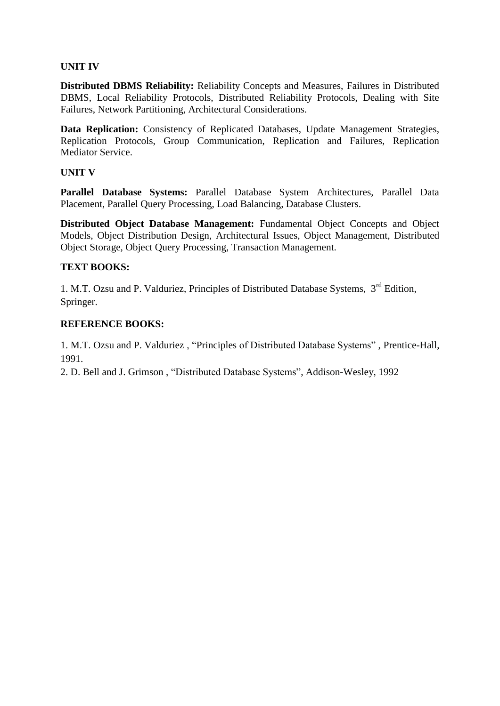#### **UNIT IV**

**Distributed DBMS Reliability:** Reliability Concepts and Measures, Failures in Distributed DBMS, Local Reliability Protocols, Distributed Reliability Protocols, Dealing with Site Failures, Network Partitioning, Architectural Considerations.

**Data Replication:** Consistency of Replicated Databases, Update Management Strategies, Replication Protocols, Group Communication, Replication and Failures, Replication Mediator Service.

#### **UNIT V**

**Parallel Database Systems:** Parallel Database System Architectures, Parallel Data Placement, Parallel Query Processing, Load Balancing, Database Clusters.

**Distributed Object Database Management:** Fundamental Object Concepts and Object Models, Object Distribution Design, Architectural Issues, Object Management, Distributed Object Storage, Object Query Processing, Transaction Management.

#### **TEXT BOOKS:**

1. M.T. Ozsu and P. Valduriez, Principles of Distributed Database Systems, 3<sup>rd</sup> Edition, Springer.

#### **REFERENCE BOOKS:**

1. M.T. Ozsu and P. Valduriez , "Principles of Distributed Database Systems" , Prentice-Hall, 1991.

2. D. Bell and J. Grimson , "Distributed Database Systems", Addison-Wesley, 1992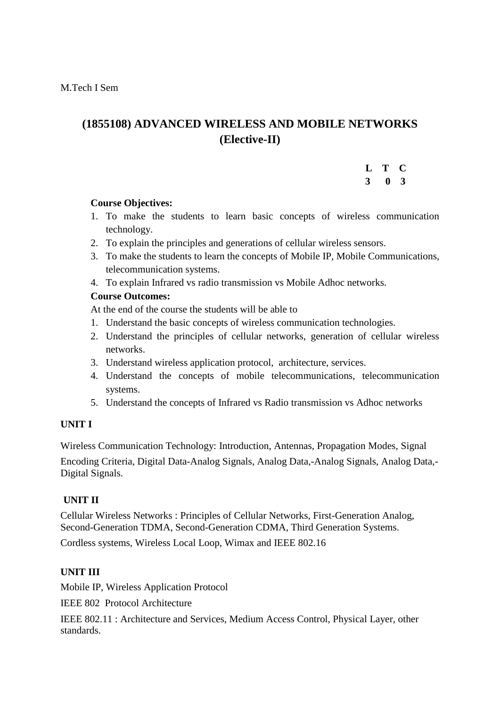# **(1855108) ADVANCED WIRELESS AND MOBILE NETWORKS (Elective-II)**

#### **L T C 3 0 3**

#### **Course Objectives:**

- 1. To make the students to learn basic concepts of wireless communication technology.
- 2. To explain the principles and generations of cellular wireless sensors.
- 3. To make the students to learn the concepts of Mobile IP, Mobile Communications, telecommunication systems.
- 4. To explain Infrared vs radio transmission vs Mobile Adhoc networks.

#### **Course Outcomes:**

At the end of the course the students will be able to

- 1. Understand the basic concepts of wireless communication technologies.
- 2. Understand the principles of cellular networks, generation of cellular wireless networks.
- 3. Understand wireless application protocol, architecture, services.
- 4. Understand the concepts of mobile telecommunications, telecommunication systems.
- 5. Understand the concepts of Infrared vs Radio transmission vs Adhoc networks

#### **UNIT I**

Wireless Communication Technology: Introduction, Antennas, Propagation Modes, Signal

Encoding Criteria, Digital Data-Analog Signals, Analog Data,-Analog Signals, Analog Data,- Digital Signals.

#### **UNIT II**

Cellular Wireless Networks : Principles of Cellular Networks, First-Generation Analog, Second-Generation TDMA, Second-Generation CDMA, Third Generation Systems.

Cordless systems, Wireless Local Loop, Wimax and IEEE 802.16

#### **UNIT III**

Mobile IP, Wireless Application Protocol

IEEE 802Protocol Architecture

IEEE 802.11 : Architecture and Services, Medium Access Control, Physical Layer, other standards.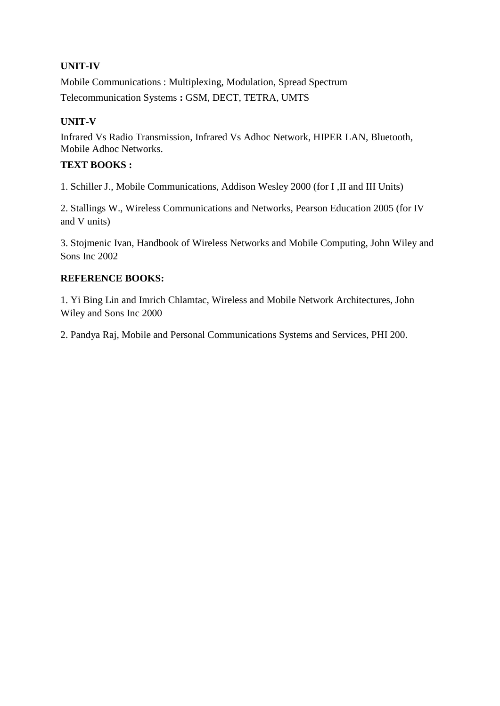# **UNIT-IV**

Mobile Communications : Multiplexing, Modulation, Spread Spectrum Telecommunication Systems **:** GSM, DECT, TETRA, UMTS

## **UNIT-V**

Infrared Vs Radio Transmission, Infrared Vs Adhoc Network, HIPER LAN, Bluetooth, Mobile Adhoc Networks.

# **TEXT BOOKS :**

1. Schiller J., Mobile Communications, Addison Wesley 2000 (for I ,II and III Units)

2. Stallings W., Wireless Communications and Networks, Pearson Education 2005 (for IV and V units)

3. Stojmenic Ivan, Handbook of Wireless Networks and Mobile Computing, John Wiley and Sons Inc 2002

#### **REFERENCE BOOKS:**

1. Yi Bing Lin and Imrich Chlamtac, Wireless and Mobile Network Architectures, John Wiley and Sons Inc 2000

2. Pandya Raj, Mobile and Personal Communications Systems and Services, PHI 200.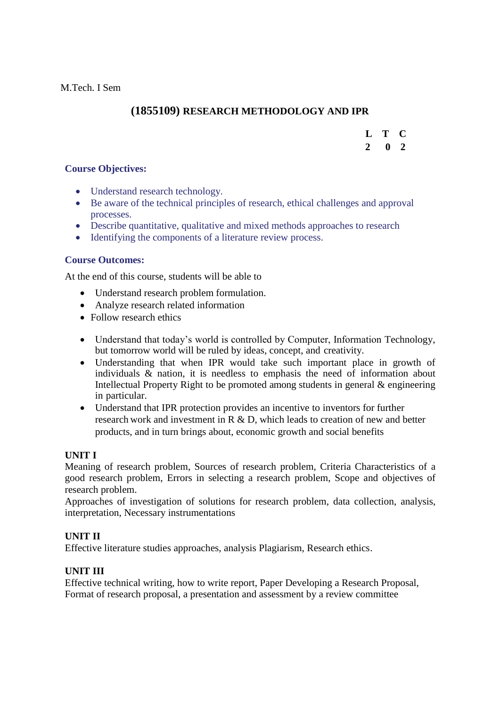# **(1855109) RESEARCH METHODOLOGY AND IPR**

#### **L T C**

#### **2 0 2**

#### **Course Objectives:**

- Understand research technology.
- Be aware of the technical principles of research, ethical challenges and approval processes.
- Describe quantitative, qualitative and mixed methods approaches to research
- Identifying the components of a literature review process.

#### **Course Outcomes:**

At the end of this course, students will be able to

- Understand research problem formulation.
- Analyze research related information
- Follow research ethics
- Understand that today"s world is controlled by Computer, Information Technology, but tomorrow world will be ruled by ideas, concept, and creativity.
- Understanding that when IPR would take such important place in growth of individuals & nation, it is needless to emphasis the need of information about Intellectual Property Right to be promoted among students in general & engineering in particular.
- Understand that IPR protection provides an incentive to inventors for further research work and investment in R & D, which leads to creation of new and better products, and in turn brings about, economic growth and social benefits

#### **UNIT I**

Meaning of research problem, Sources of research problem, Criteria Characteristics of a good research problem, Errors in selecting a research problem, Scope and objectives of research problem.

Approaches of investigation of solutions for research problem, data collection, analysis, interpretation, Necessary instrumentations

#### **UNIT II**

Effective literature studies approaches, analysis Plagiarism, Research ethics.

#### **UNIT III**

Effective technical writing, how to write report, Paper Developing a Research Proposal, Format of research proposal, a presentation and assessment by a review committee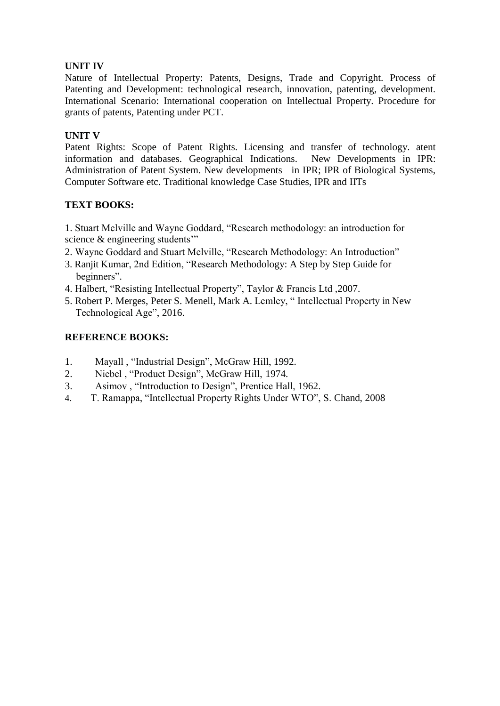### **UNIT IV**

Nature of Intellectual Property: Patents, Designs, Trade and Copyright. Process of Patenting and Development: technological research, innovation, patenting, development. International Scenario: International cooperation on Intellectual Property. Procedure for grants of patents, Patenting under PCT.

#### **UNIT V**

Patent Rights: Scope of Patent Rights. Licensing and transfer of technology. atent information and databases. Geographical Indications.New Developments in IPR: Administration of Patent System. New developments in IPR; IPR of Biological Systems, Computer Software etc. Traditional knowledge Case Studies, IPR and IITs

## **TEXT BOOKS:**

1. Stuart Melville and Wayne Goddard, "Research methodology: an introduction for science & engineering students"

- 2. Wayne Goddard and Stuart Melville, "Research Methodology: An Introduction"
- 3. Ranjit Kumar, 2nd Edition, "Research Methodology: A Step by Step Guide for beginners".
- 4. Halbert, "Resisting Intellectual Property", Taylor & Francis Ltd ,2007.
- 5. Robert P. Merges, Peter S. Menell, Mark A. Lemley, " Intellectual Property in New Technological Age", 2016.

## **REFERENCE BOOKS:**

- 1. Mayall , "Industrial Design", McGraw Hill, 1992.
- 2. Niebel , "Product Design", McGraw Hill, 1974.
- 3. Asimov , "Introduction to Design", Prentice Hall, 1962.
- 4. T. Ramappa, "Intellectual Property Rights Under WTO", S. Chand, 2008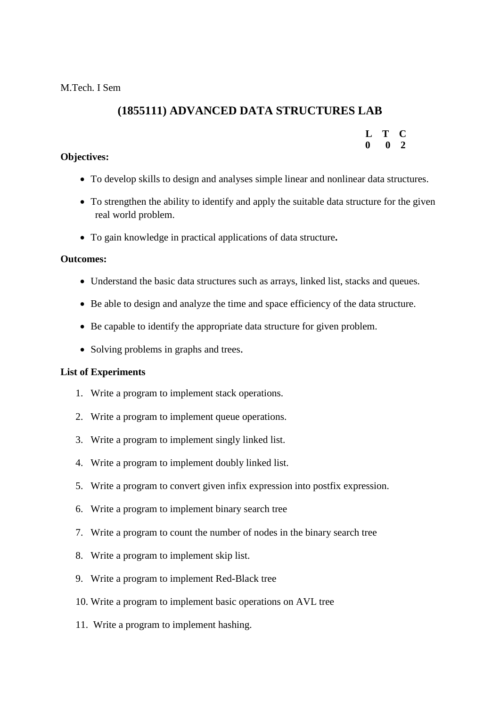# **(1855111) ADVANCED DATA STRUCTURES LAB**

| Т.           | T           | O            |
|--------------|-------------|--------------|
| $\mathbf{0}$ | $\mathbf 0$ | $\mathbf{2}$ |

#### **Objectives:**

- To develop skills to design and analyses simple linear and nonlinear data structures.
- To strengthen the ability to identify and apply the suitable data structure for the given real world problem.
- To gain knowledge in practical applications of data structure**.**

#### **Outcomes:**

- Understand the basic data structures such as arrays, linked list, stacks and queues.
- Be able to design and analyze the time and space efficiency of the data structure.
- Be capable to identify the appropriate data structure for given problem.
- Solving problems in graphs and trees.

#### **List of Experiments**

- 1. Write a program to implement stack operations.
- 2. Write a program to implement queue operations.
- 3. Write a program to implement singly linked list.
- 4. Write a program to implement doubly linked list.
- 5. Write a program to convert given infix expression into postfix expression.
- 6. Write a program to implement binary search tree
- 7. Write a program to count the number of nodes in the binary search tree
- 8. Write a program to implement skip list.
- 9. Write a program to implement Red-Black tree
- 10. Write a program to implement basic operations on AVL tree
- 11. Write a program to implement hashing.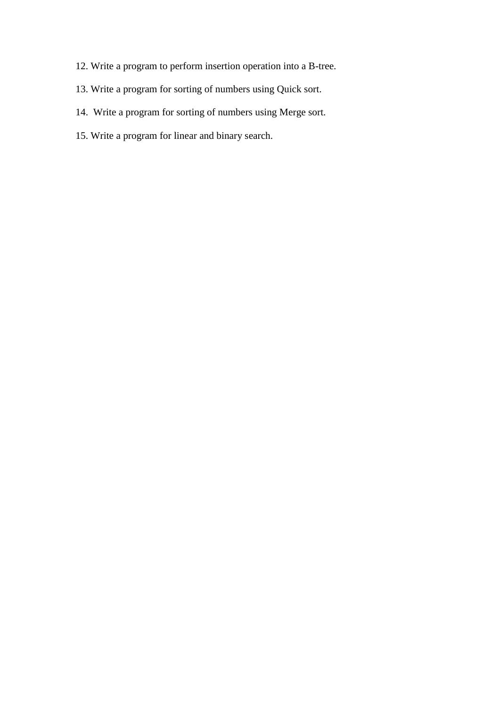- 12. Write a program to perform insertion operation into a B-tree.
- 13. Write a program for sorting of numbers using Quick sort.
- 14. Write a program for sorting of numbers using Merge sort.
- 15. Write a program for linear and binary search.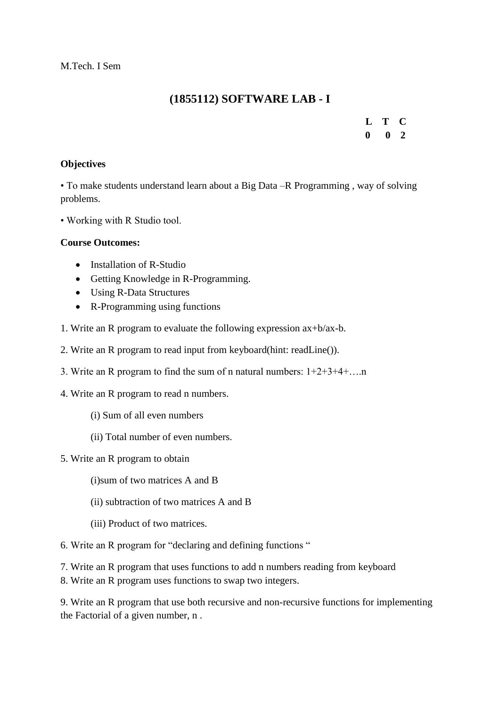# **(1855112) SOFTWARE LAB - I**

**L T C 0 0 2**

#### **Objectives**

• To make students understand learn about a Big Data –R Programming , way of solving problems.

• Working with R Studio tool.

#### **Course Outcomes:**

- $\bullet$  Installation of R-Studio
- Getting Knowledge in R-Programming.
- Using R-Data Structures
- R-Programming using functions
- 1. Write an R program to evaluate the following expression ax+b/ax-b.
- 2. Write an R program to read input from keyboard(hint: readLine()).
- 3. Write an R program to find the sum of n natural numbers: 1+2+3+4+….n
- 4. Write an R program to read n numbers.
	- (i) Sum of all even numbers
	- (ii) Total number of even numbers.
- 5. Write an R program to obtain

(i)sum of two matrices A and B

- (ii) subtraction of two matrices A and B
- (iii) Product of two matrices.
- 6. Write an R program for "declaring and defining functions "
- 7. Write an R program that uses functions to add n numbers reading from keyboard
- 8. Write an R program uses functions to swap two integers.

9. Write an R program that use both recursive and non-recursive functions for implementing the Factorial of a given number, n .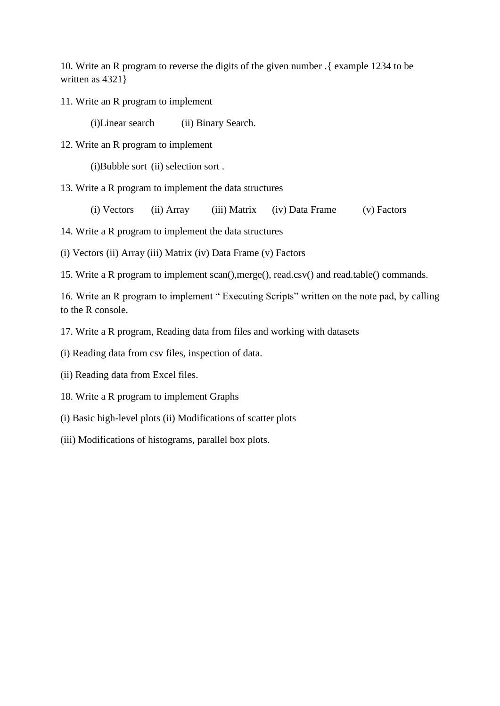10. Write an R program to reverse the digits of the given number .{ example 1234 to be written as 4321 }

11. Write an R program to implement

(i)Linear search (ii) Binary Search.

12. Write an R program to implement

(i)Bubble sort (ii) selection sort .

13. Write a R program to implement the data structures

(i) Vectors (ii) Array (iii) Matrix (iv) Data Frame (v) Factors

14. Write a R program to implement the data structures

(i) Vectors (ii) Array (iii) Matrix (iv) Data Frame (v) Factors

15. Write a R program to implement scan(),merge(), read.csv() and read.table() commands.

16. Write an R program to implement " Executing Scripts" written on the note pad, by calling to the R console.

17. Write a R program, Reading data from files and working with datasets

(i) Reading data from csv files, inspection of data.

- (ii) Reading data from Excel files.
- 18. Write a R program to implement Graphs
- (i) Basic high-level plots (ii) Modifications of scatter plots
- (iii) Modifications of histograms, parallel box plots.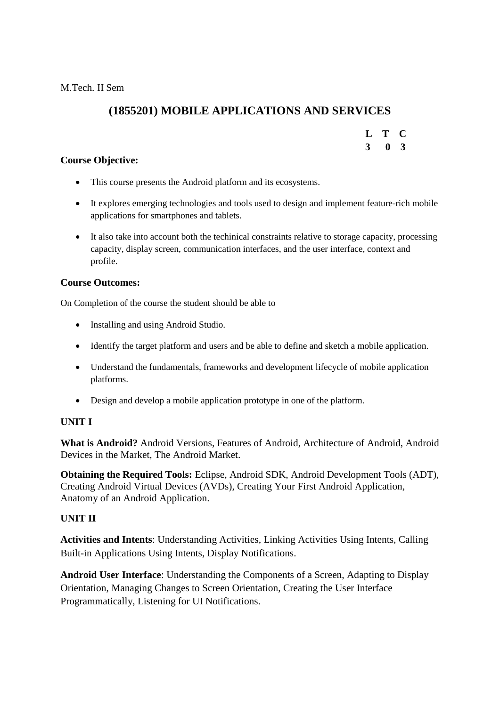M.Tech. II Sem

# **(1855201) MOBILE APPLICATIONS AND SERVICES**

# **L T C**

#### **3 0 3**

#### **Course Objective:**

- This course presents the Android platform and its ecosystems.
- It explores emerging technologies and tools used to design and implement feature-rich mobile applications for smartphones and tablets.
- It also take into account both the techinical constraints relative to storage capacity, processing capacity, display screen, communication interfaces, and the user interface, context and profile.

#### **Course Outcomes:**

On Completion of the course the student should be able to

- Installing and using Android Studio.
- Identify the target platform and users and be able to define and sketch a mobile application.
- Understand the fundamentals, frameworks and development lifecycle of mobile application platforms.
- Design and develop a mobile application prototype in one of the platform.

#### **UNIT I**

**What is Android?** Android Versions, Features of Android, Architecture of Android, Android Devices in the Market, The Android Market.

**Obtaining the Required Tools:** Eclipse, Android SDK, Android Development Tools (ADT), Creating Android Virtual Devices (AVDs), Creating Your First Android Application, Anatomy of an Android Application.

#### **UNIT II**

**Activities and Intents**: Understanding Activities, Linking Activities Using Intents, Calling Built-in Applications Using Intents, Display Notifications.

**Android User Interface**: Understanding the Components of a Screen, Adapting to Display Orientation, Managing Changes to Screen Orientation, Creating the User Interface Programmatically, Listening for UI Notifications.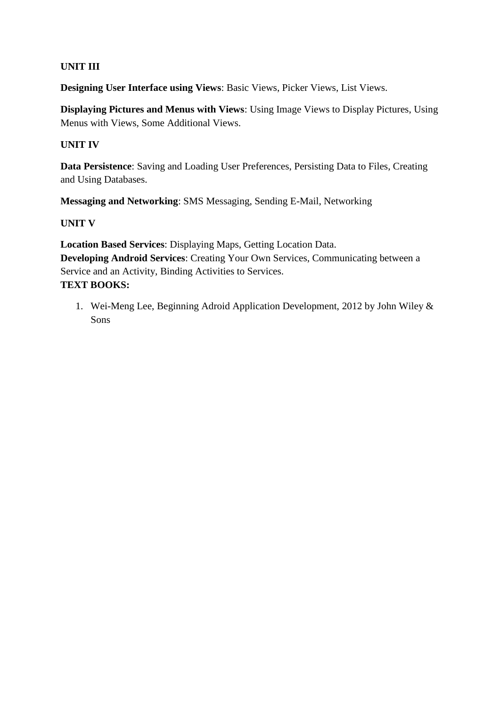## **UNIT III**

**Designing User Interface using Views**: Basic Views, Picker Views, List Views.

**Displaying Pictures and Menus with Views**: Using Image Views to Display Pictures, Using Menus with Views, Some Additional Views.

#### **UNIT IV**

**Data Persistence**: Saving and Loading User Preferences, Persisting Data to Files, Creating and Using Databases.

**Messaging and Networking**: SMS Messaging, Sending E-Mail, Networking

#### **UNIT V**

**Location Based Services**: Displaying Maps, Getting Location Data. **Developing Android Services**: Creating Your Own Services, Communicating between a Service and an Activity, Binding Activities to Services. **TEXT BOOKS:**

1. Wei-Meng Lee, Beginning Adroid Application Development, 2012 by John Wiley & Sons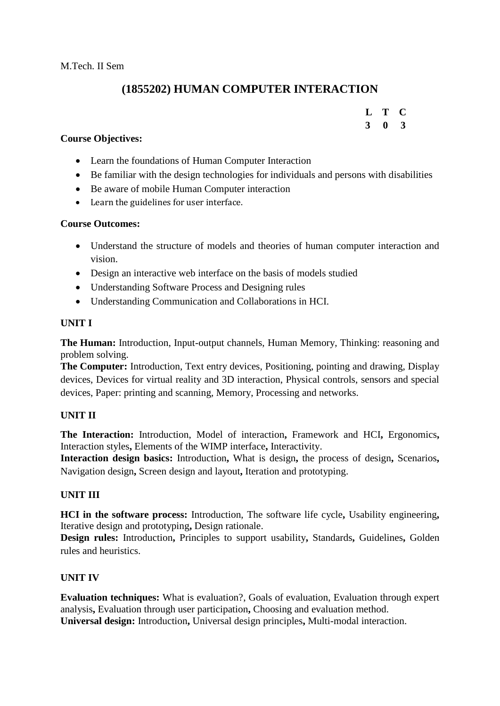# **(1855202) HUMAN COMPUTER INTERACTION**

# **L T C 3 0 3**

#### **Course Objectives:**

- Learn the foundations of Human Computer Interaction
- Be familiar with the design technologies for individuals and persons with disabilities
- Be aware of mobile Human Computer interaction
- Learn the guidelines for user interface.

#### **Course Outcomes:**

- Understand the structure of models and theories of human computer interaction and vision.
- Design an interactive web interface on the basis of models studied
- Understanding Software Process and Designing rules
- Understanding Communication and Collaborations in HCI.

#### **UNIT I**

**The Human:** Introduction, Input-output channels, Human Memory, Thinking: reasoning and problem solving.

**The Computer:** Introduction, Text entry devices, Positioning, pointing and drawing, Display devices, Devices for virtual reality and 3D interaction, Physical controls, sensors and special devices, Paper: printing and scanning, Memory, Processing and networks.

#### **UNIT II**

**The Interaction:** Introduction, Model of interaction**,** Framework and HCI**,** Ergonomics**,**  Interaction styles**,** Elements of the WIMP interface**,** Interactivity.

**Interaction design basics:** Introduction**,** What is design**,** the process of design**,** Scenarios**,**  Navigation design**,** Screen design and layout**,** Iteration and prototyping.

#### **UNIT III**

**HCI in the software process:** Introduction, The software life cycle**,** Usability engineering**,**  Iterative design and prototyping**,** Design rationale.

**Design rules:** Introduction**,** Principles to support usability**,** Standards**,** Guidelines**,** Golden rules and heuristics.

#### **UNIT IV**

**Evaluation techniques:** What is evaluation?, Goals of evaluation, Evaluation through expert analysis**,** Evaluation through user participation**,** Choosing and evaluation method. **Universal design:** Introduction**,** Universal design principles**,** Multi-modal interaction.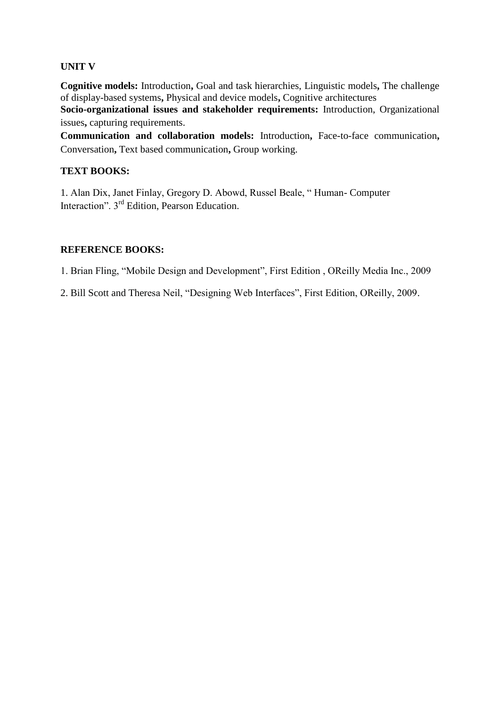### **UNIT V**

**Cognitive models:** Introduction**,** Goal and task hierarchies, Linguistic models**,** The challenge of display-based systems**,** Physical and device models**,** Cognitive architectures

**Socio-organizational issues and stakeholder requirements:** Introduction, Organizational issues**,** capturing requirements.

**Communication and collaboration models:** Introduction**,** Face-to-face communication**,**  Conversation**,** Text based communication**,** Group working.

### **TEXT BOOKS:**

1. Alan Dix, Janet Finlay, Gregory D. Abowd, Russel Beale, " Human- Computer Interaction". 3rd Edition, Pearson Education.

#### **REFERENCE BOOKS:**

1. Brian Fling, "Mobile Design and Development", First Edition , OReilly Media Inc., 2009

2. Bill Scott and Theresa Neil, "Designing Web Interfaces", First Edition, OReilly, 2009.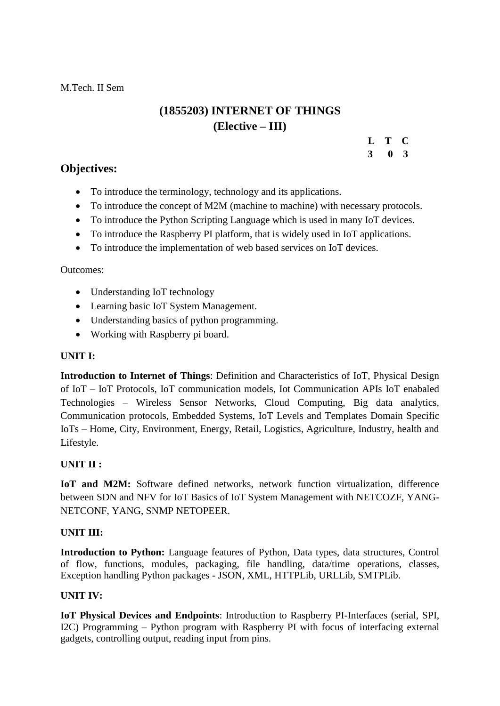M.Tech. II Sem

# **(1855203) INTERNET OF THINGS (Elective – III)**

### **L T C**

 **3 0 3**

# **Objectives:**

- To introduce the terminology, technology and its applications.
- To introduce the concept of M2M (machine to machine) with necessary protocols.
- To introduce the Python Scripting Language which is used in many IoT devices.
- To introduce the Raspberry PI platform, that is widely used in IoT applications.
- To introduce the implementation of web based services on IoT devices.

## Outcomes:

- Understanding IoT technology
- Learning basic IoT System Management.
- Understanding basics of python programming.
- Working with Raspberry pi board.

### **UNIT I:**

**Introduction to Internet of Things**: Definition and Characteristics of IoT, Physical Design of IoT – IoT Protocols, IoT communication models, Iot Communication APIs IoT enabaled Technologies – Wireless Sensor Networks, Cloud Computing, Big data analytics, Communication protocols, Embedded Systems, IoT Levels and Templates Domain Specific IoTs – Home, City, Environment, Energy, Retail, Logistics, Agriculture, Industry, health and Lifestyle.

# **UNIT II :**

**IoT and M2M:** Software defined networks, network function virtualization, difference between SDN and NFV for IoT Basics of IoT System Management with NETCOZF, YANG-NETCONF, YANG, SNMP NETOPEER.

# **UNIT III:**

**Introduction to Python:** Language features of Python, Data types, data structures, Control of flow, functions, modules, packaging, file handling, data/time operations, classes, Exception handling Python packages - JSON, XML, HTTPLib, URLLib, SMTPLib.

# **UNIT IV:**

**IoT Physical Devices and Endpoints**: Introduction to Raspberry PI-Interfaces (serial, SPI, I2C) Programming – Python program with Raspberry PI with focus of interfacing external gadgets, controlling output, reading input from pins.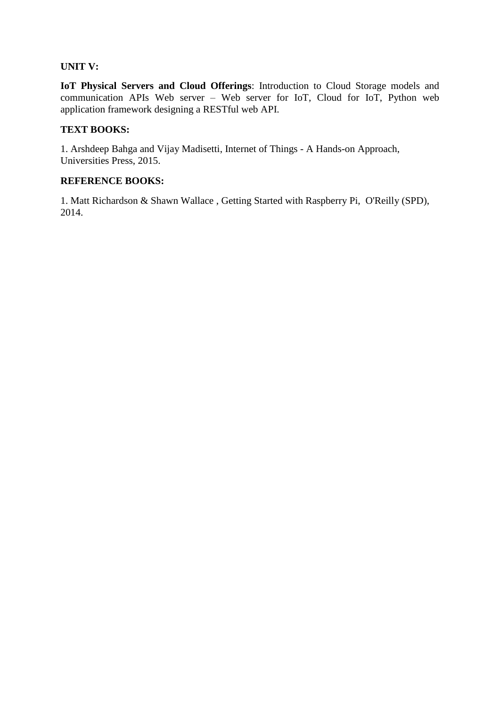#### **UNIT V:**

**IoT Physical Servers and Cloud Offerings**: Introduction to Cloud Storage models and communication APIs Web server – Web server for IoT, Cloud for IoT, Python web application framework designing a RESTful web API.

#### **TEXT BOOKS:**

1. Arshdeep Bahga and Vijay Madisetti, Internet of Things - A Hands-on Approach, Universities Press, 2015.

#### **REFERENCE BOOKS:**

1. Matt Richardson & Shawn Wallace , Getting Started with Raspberry Pi, O'Reilly (SPD), 2014.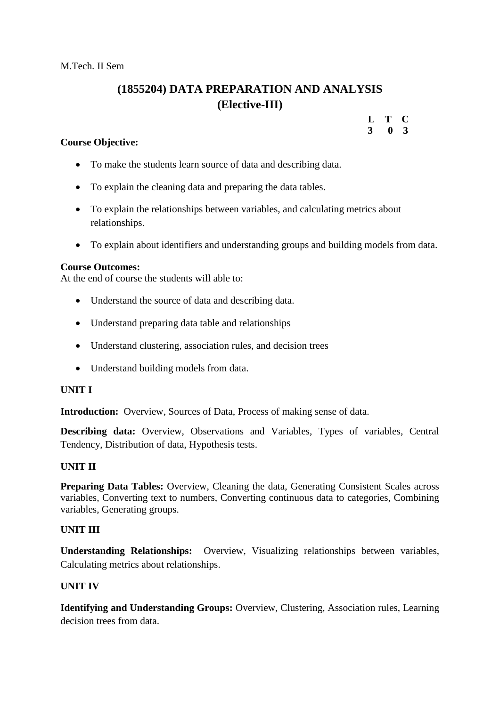# **(1855204) DATA PREPARATION AND ANALYSIS (Elective-III)**

#### **Course Objective:**

- To make the students learn source of data and describing data.
- To explain the cleaning data and preparing the data tables.
- To explain the relationships between variables, and calculating metrics about relationships.
- To explain about identifiers and understanding groups and building models from data.

#### **Course Outcomes:**

At the end of course the students will able to:

- Understand the source of data and describing data.
- Understand preparing data table and relationships
- Understand clustering, association rules, and decision trees
- Understand building models from data.

#### **UNIT I**

**Introduction:** Overview, Sources of Data, Process of making sense of data.

**Describing data:** Overview, Observations and Variables, Types of variables, Central Tendency, Distribution of data, Hypothesis tests.

#### **UNIT II**

**Preparing Data Tables:** Overview, Cleaning the data, Generating Consistent Scales across variables, Converting text to numbers, Converting continuous data to categories, Combining variables, Generating groups.

#### **UNIT III**

**Understanding Relationships:** Overview, Visualizing relationships between variables, Calculating metrics about relationships.

#### **UNIT IV**

**Identifying and Understanding Groups:** Overview, Clustering, Association rules, Learning decision trees from data

#### **L T C 3 0 3**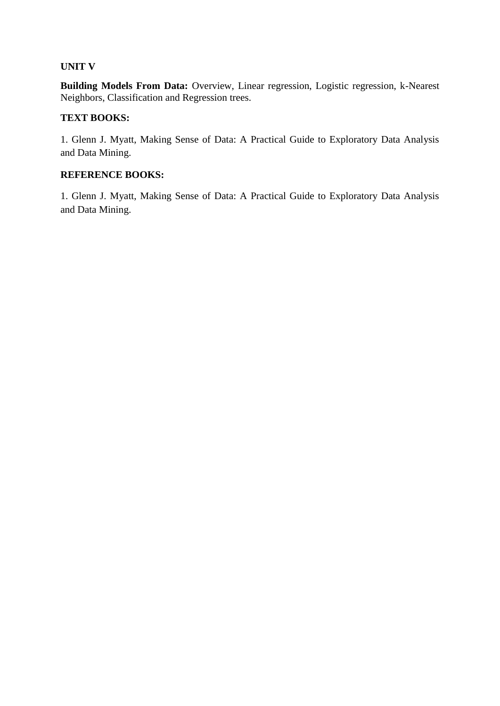#### **UNIT V**

**Building Models From Data:** Overview, Linear regression, Logistic regression, k-Nearest Neighbors, Classification and Regression trees.

#### **TEXT BOOKS:**

1. Glenn J. Myatt, Making Sense of Data: A Practical Guide to Exploratory Data Analysis and Data Mining.

#### **REFERENCE BOOKS:**

1. Glenn J. Myatt, Making Sense of Data: A Practical Guide to Exploratory Data Analysis and Data Mining.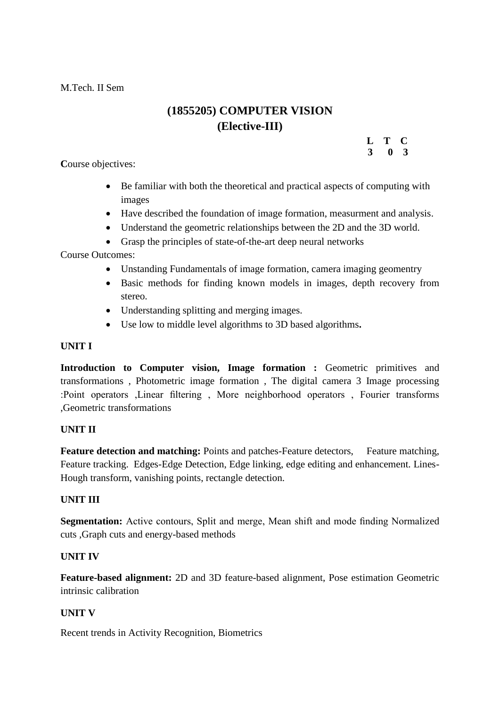M.Tech. II Sem

# **(1855205) COMPUTER VISION (Elective-III)**

**L T C 3 0 3**

**C**ourse objectives:

- Be familiar with both the theoretical and practical aspects of computing with images
- Have described the foundation of image formation, measurment and analysis.
- Understand the geometric relationships between the 2D and the 3D world.
- Grasp the principles of state-of-the-art deep neural networks

Course Outcomes:

- Unstanding Fundamentals of image formation, camera imaging geomentry
- Basic methods for finding known models in images, depth recovery from stereo.
- Understanding splitting and merging images.
- Use low to middle level algorithms to 3D based algorithms**.**

#### **UNIT I**

**Introduction to Computer vision, Image formation :** Geometric primitives and transformations , Photometric image formation , The digital camera 3 Image processing :Point operators ,Linear filtering , More neighborhood operators , Fourier transforms ,Geometric transformations

#### **UNIT II**

**Feature detection and matching:** Points and patches-Feature detectors, Feature matching, Feature tracking. Edges-Edge Detection, Edge linking, edge editing and enhancement. Lines-Hough transform, vanishing points, rectangle detection.

#### **UNIT III**

**Segmentation:** Active contours, Split and merge, Mean shift and mode finding Normalized cuts ,Graph cuts and energy-based methods

#### **UNIT IV**

**Feature-based alignment:** 2D and 3D feature-based alignment, Pose estimation Geometric intrinsic calibration

#### **UNIT V**

Recent trends in Activity Recognition, Biometrics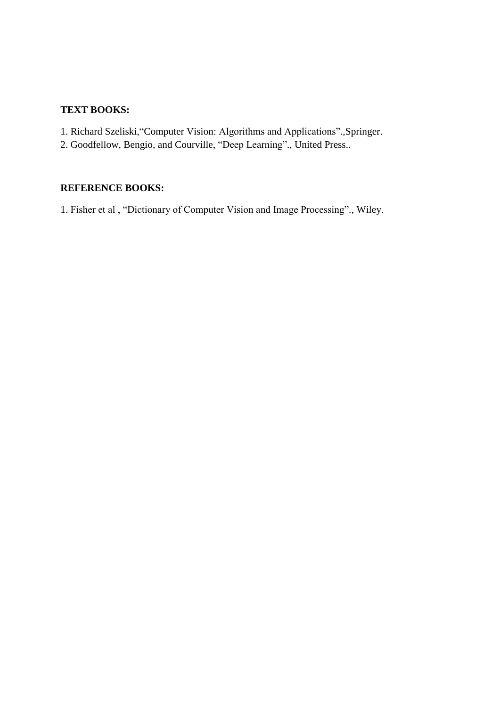#### **TEXT BOOKS:**

- 1. Richard Szeliski,"Computer Vision: Algorithms and Applications".,Springer.
- 2. Goodfellow, Bengio, and Courville, "Deep Learning"., United Press..

# **REFERENCE BOOKS:**

1. Fisher et al , "Dictionary of Computer Vision and Image Processing"., Wiley.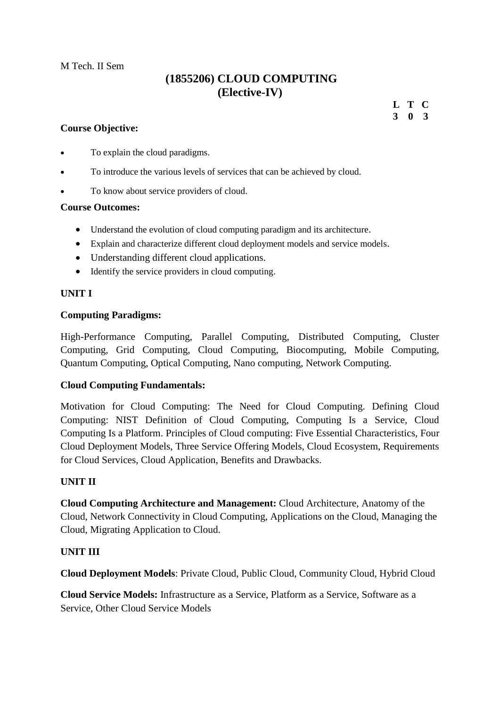M Tech. II Sem

# **(1855206) CLOUD COMPUTING (Elective-IV)**

#### **Course Objective:**

**L T C 3 0 3**

- To explain the cloud paradigms.
- To introduce the various levels of services that can be achieved by cloud.
- To know about service providers of cloud.

#### **Course Outcomes:**

- Understand the evolution of cloud computing paradigm and its architecture.
- Explain and characterize different cloud deployment models and service models.
- Understanding different cloud applications.
- Identify the service providers in cloud computing.

#### **UNIT I**

#### **Computing Paradigms:**

High-Performance Computing, Parallel Computing, Distributed Computing, Cluster Computing, Grid Computing, Cloud Computing, Biocomputing, Mobile Computing, Quantum Computing, Optical Computing, Nano computing, Network Computing.

#### **Cloud Computing Fundamentals:**

Motivation for Cloud Computing: The Need for Cloud Computing. Defining Cloud Computing: NIST Definition of Cloud Computing, Computing Is a Service, Cloud Computing Is a Platform. Principles of Cloud computing: Five Essential Characteristics, Four Cloud Deployment Models, Three Service Offering Models, Cloud Ecosystem, Requirements for Cloud Services, Cloud Application, Benefits and Drawbacks.

#### **UNIT II**

**Cloud Computing Architecture and Management:** Cloud Architecture, Anatomy of the Cloud, Network Connectivity in Cloud Computing, Applications on the Cloud, Managing the Cloud, Migrating Application to Cloud.

# **UNIT III**

**Cloud Deployment Models**: Private Cloud, Public Cloud, Community Cloud, Hybrid Cloud

**Cloud Service Models:** Infrastructure as a Service, Platform as a Service, Software as a Service, Other Cloud Service Models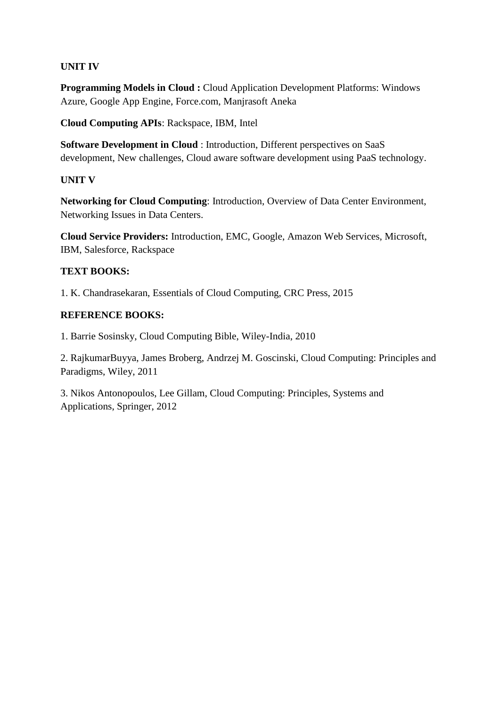# **UNIT IV**

**Programming Models in Cloud :** Cloud Application Development Platforms: Windows Azure, Google App Engine, Force.com, Manjrasoft Aneka

**Cloud Computing APIs**: Rackspace, IBM, Intel

**Software Development in Cloud** : Introduction, Different perspectives on SaaS development, New challenges, Cloud aware software development using PaaS technology.

# **UNIT V**

**Networking for Cloud Computing**: Introduction, Overview of Data Center Environment, Networking Issues in Data Centers.

**Cloud Service Providers:** Introduction, EMC, Google, Amazon Web Services, Microsoft, IBM, Salesforce, Rackspace

# **TEXT BOOKS:**

1. K. Chandrasekaran, Essentials of Cloud Computing, CRC Press, 2015

# **REFERENCE BOOKS:**

1. Barrie Sosinsky, Cloud Computing Bible, Wiley-India, 2010

2. RajkumarBuyya, James Broberg, Andrzej M. Goscinski, Cloud Computing: Principles and Paradigms, Wiley, 2011

3. Nikos Antonopoulos, Lee Gillam, Cloud Computing: Principles, Systems and Applications, Springer, 2012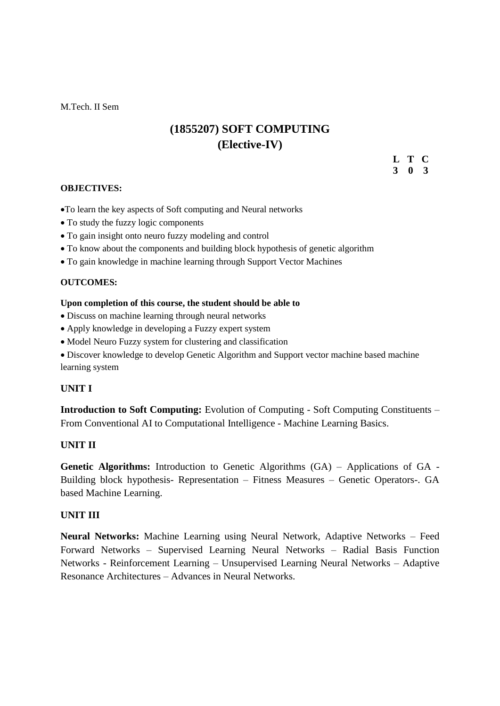M.Tech. II Sem

# **(1855207) SOFT COMPUTING (Elective-IV)**

**L T C 3 0 3**

#### **OBJECTIVES:**

- To learn the key aspects of Soft computing and Neural networks
- To study the fuzzy logic components
- To gain insight onto neuro fuzzy modeling and control
- To know about the components and building block hypothesis of genetic algorithm
- To gain knowledge in machine learning through Support Vector Machines

#### **OUTCOMES:**

#### **Upon completion of this course, the student should be able to**

- Discuss on machine learning through neural networks
- Apply knowledge in developing a Fuzzy expert system
- Model Neuro Fuzzy system for clustering and classification
- Discover knowledge to develop Genetic Algorithm and Support vector machine based machine learning system

#### **UNIT I**

**Introduction to Soft Computing:** Evolution of Computing - Soft Computing Constituents – From Conventional AI to Computational Intelligence - Machine Learning Basics.

#### **UNIT II**

**Genetic Algorithms:** Introduction to Genetic Algorithms (GA) – Applications of GA - Building block hypothesis- Representation – Fitness Measures – Genetic Operators-. GA based Machine Learning.

#### **UNIT III**

**Neural Networks:** Machine Learning using Neural Network, Adaptive Networks – Feed Forward Networks – Supervised Learning Neural Networks – Radial Basis Function Networks - Reinforcement Learning – Unsupervised Learning Neural Networks – Adaptive Resonance Architectures – Advances in Neural Networks.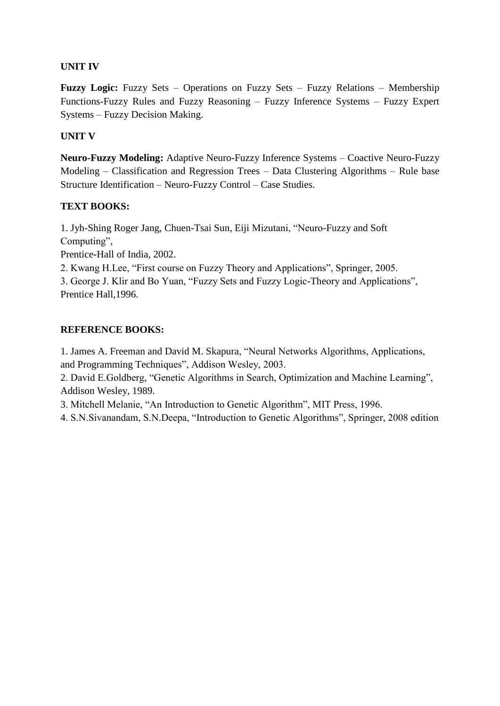# **UNIT IV**

**Fuzzy Logic:** Fuzzy Sets – Operations on Fuzzy Sets – Fuzzy Relations – Membership Functions-Fuzzy Rules and Fuzzy Reasoning – Fuzzy Inference Systems – Fuzzy Expert Systems – Fuzzy Decision Making.

# **UNIT V**

**Neuro-Fuzzy Modeling:** Adaptive Neuro-Fuzzy Inference Systems – Coactive Neuro-Fuzzy Modeling – Classification and Regression Trees – Data Clustering Algorithms – Rule base Structure Identification – Neuro-Fuzzy Control – Case Studies.

# **TEXT BOOKS:**

1. Jyh-Shing Roger Jang, Chuen-Tsai Sun, Eiji Mizutani, "Neuro-Fuzzy and Soft Computing",

Prentice-Hall of India, 2002.

2. Kwang H.Lee, "First course on Fuzzy Theory and Applications", Springer, 2005.

3. George J. Klir and Bo Yuan, "Fuzzy Sets and Fuzzy Logic-Theory and Applications", Prentice Hall,1996.

# **REFERENCE BOOKS:**

1. James A. Freeman and David M. Skapura, "Neural Networks Algorithms, Applications, and Programming Techniques", Addison Wesley, 2003.

2. David E.Goldberg, "Genetic Algorithms in Search, Optimization and Machine Learning", Addison Wesley, 1989.

3. Mitchell Melanie, "An Introduction to Genetic Algorithm", MIT Press, 1996.

4. S.N.Sivanandam, S.N.Deepa, "Introduction to Genetic Algorithms", Springer, 2008 edition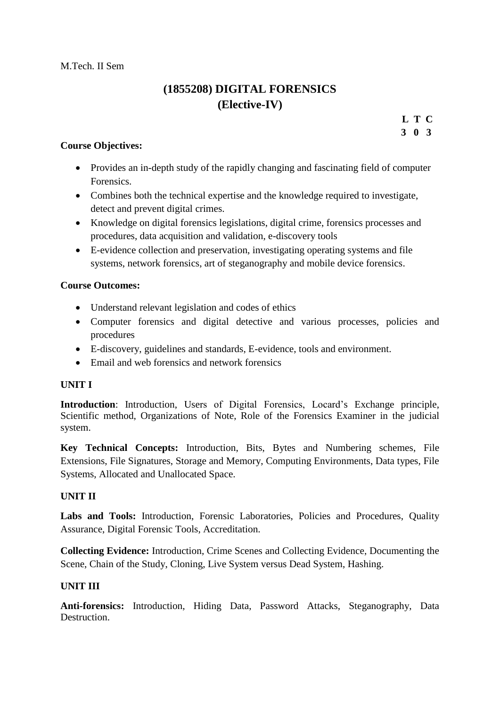M.Tech. II Sem

# **(1855208) DIGITAL FORENSICS (Elective-IV)**

**L T C 3 0 3**

# **Course Objectives:**

- Provides an in-depth study of the rapidly changing and fascinating field of computer Forensics.
- Combines both the technical expertise and the knowledge required to investigate, detect and prevent digital crimes.
- Knowledge on digital forensics legislations, digital crime, forensics processes and procedures, data acquisition and validation, e-discovery tools
- E-evidence collection and preservation, investigating operating systems and file systems, network forensics, art of steganography and mobile device forensics.

# **Course Outcomes:**

- Understand relevant legislation and codes of ethics
- Computer forensics and digital detective and various processes, policies and procedures
- E-discovery, guidelines and standards, E-evidence, tools and environment.
- Email and web forensics and network forensics

# **UNIT I**

**Introduction**: Introduction, Users of Digital Forensics, Locard"s Exchange principle, Scientific method, Organizations of Note, Role of the Forensics Examiner in the judicial system.

**Key Technical Concepts:** Introduction, Bits, Bytes and Numbering schemes, File Extensions, File Signatures, Storage and Memory, Computing Environments, Data types, File Systems, Allocated and Unallocated Space.

# **UNIT II**

Labs and Tools: Introduction, Forensic Laboratories, Policies and Procedures, Quality Assurance, Digital Forensic Tools, Accreditation.

**Collecting Evidence:** Introduction, Crime Scenes and Collecting Evidence, Documenting the Scene, Chain of the Study, Cloning, Live System versus Dead System, Hashing.

# **UNIT III**

**Anti-forensics:** Introduction, Hiding Data, Password Attacks, Steganography, Data **Destruction**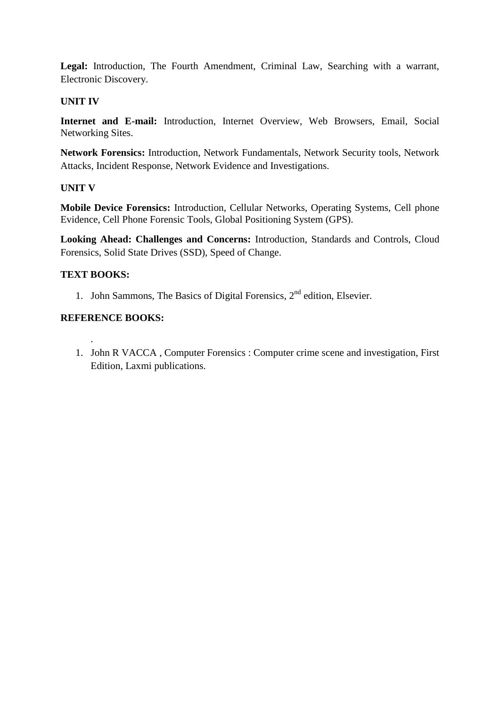**Legal:** Introduction, The Fourth Amendment, Criminal Law, Searching with a warrant, Electronic Discovery.

#### **UNIT IV**

**Internet and E-mail:** Introduction, Internet Overview, Web Browsers, Email, Social Networking Sites.

**Network Forensics:** Introduction, Network Fundamentals, Network Security tools, Network Attacks, Incident Response, Network Evidence and Investigations.

#### **UNIT V**

**Mobile Device Forensics:** Introduction, Cellular Networks, Operating Systems, Cell phone Evidence, Cell Phone Forensic Tools, Global Positioning System (GPS).

**Looking Ahead: Challenges and Concerns:** Introduction, Standards and Controls, Cloud Forensics, Solid State Drives (SSD), Speed of Change.

#### **TEXT BOOKS:**

.

1. John Sammons, The Basics of Digital Forensics, 2<sup>nd</sup> edition, Elsevier.

#### **REFERENCE BOOKS:**

1. John R VACCA , Computer Forensics : Computer crime scene and investigation, First Edition, Laxmi publications.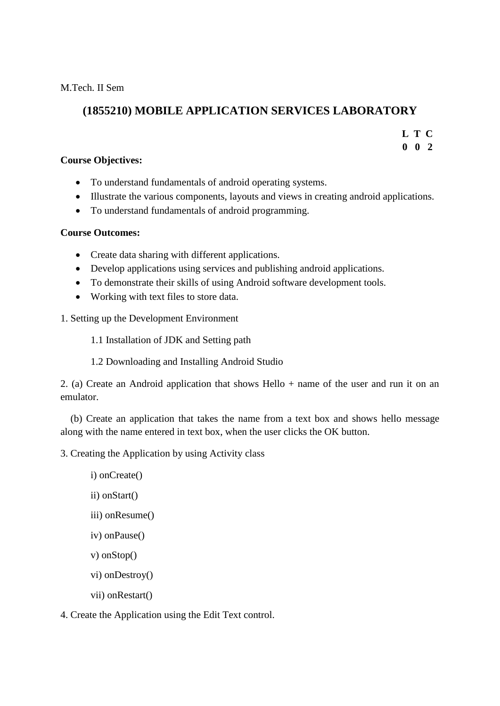M.Tech. II Sem

# **(1855210) MOBILE APPLICATION SERVICES LABORATORY**

**L T C**

**0 0 2**

# **Course Objectives:**

- To understand fundamentals of android operating systems.
- Illustrate the various components, layouts and views in creating android applications.
- To understand fundamentals of android programming.

# **Course Outcomes:**

- Create data sharing with different applications.
- Develop applications using services and publishing android applications.
- To demonstrate their skills of using Android software development tools.
- Working with text files to store data.

# 1. Setting up the Development Environment

1.1 Installation of JDK and Setting path

1.2 Downloading and Installing Android Studio

2. (a) Create an Android application that shows Hello + name of the user and run it on an emulator.

 (b) Create an application that takes the name from a text box and shows hello message along with the name entered in text box, when the user clicks the OK button.

3. Creating the Application by using Activity class

- i) onCreate()
- ii) onStart()
- iii) onResume()
- iv) onPause()
- v) onStop()
- vi) onDestroy()
- vii) onRestart()

4. Create the Application using the Edit Text control.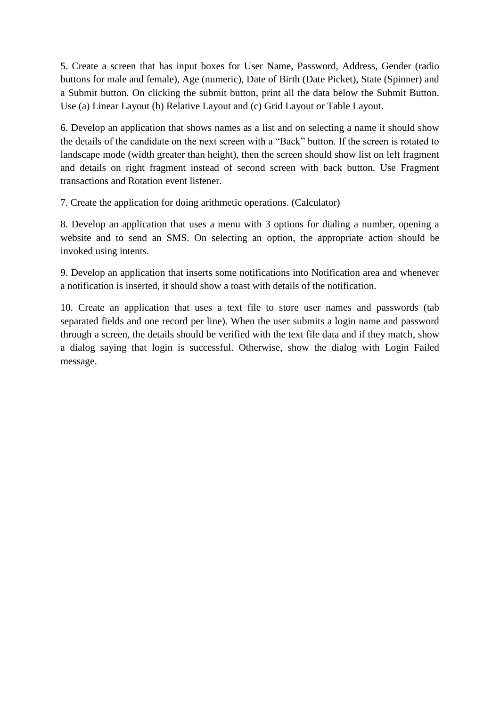5. Create a screen that has input boxes for User Name, Password, Address, Gender (radio buttons for male and female), Age (numeric), Date of Birth (Date Picket), State (Spinner) and a Submit button. On clicking the submit button, print all the data below the Submit Button. Use (a) Linear Layout (b) Relative Layout and (c) Grid Layout or Table Layout.

6. Develop an application that shows names as a list and on selecting a name it should show the details of the candidate on the next screen with a "Back" button. If the screen is rotated to landscape mode (width greater than height), then the screen should show list on left fragment and details on right fragment instead of second screen with back button. Use Fragment transactions and Rotation event listener.

7. Create the application for doing arithmetic operations. (Calculator)

8. Develop an application that uses a menu with 3 options for dialing a number, opening a website and to send an SMS. On selecting an option, the appropriate action should be invoked using intents.

9. Develop an application that inserts some notifications into Notification area and whenever a notification is inserted, it should show a toast with details of the notification.

10. Create an application that uses a text file to store user names and passwords (tab separated fields and one record per line). When the user submits a login name and password through a screen, the details should be verified with the text file data and if they match, show a dialog saying that login is successful. Otherwise, show the dialog with Login Failed message.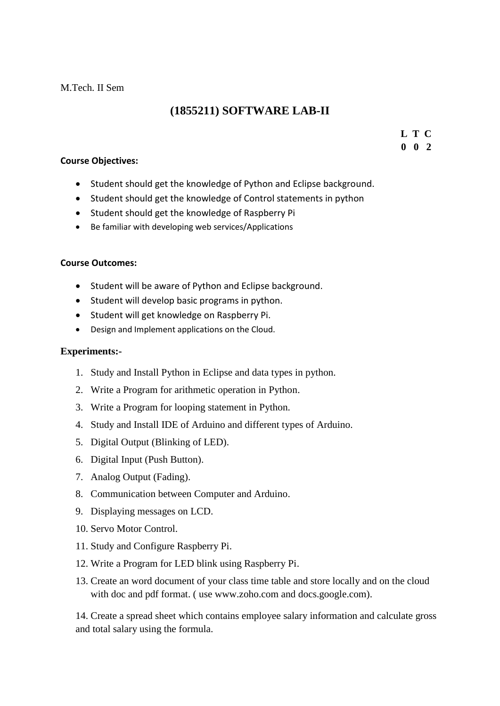#### M.Tech. II Sem

# **(1855211) SOFTWARE LAB-II**

# **L T C**

**0 0 2**

#### **Course Objectives:**

- Student should get the knowledge of Python and Eclipse background.
- Student should get the knowledge of Control statements in python
- Student should get the knowledge of Raspberry Pi
- Be familiar with developing web services/Applications

# **Course Outcomes:**

- Student will be aware of Python and Eclipse background.
- Student will develop basic programs in python.
- Student will get knowledge on Raspberry Pi.
- Design and Implement applications on the Cloud.

# **Experiments:-**

- 1. Study and Install Python in Eclipse and data types in python.
- 2. Write a Program for arithmetic operation in Python.
- 3. Write a Program for looping statement in Python.
- 4. Study and Install IDE of Arduino and different types of Arduino.
- 5. Digital Output (Blinking of LED).
- 6. Digital Input (Push Button).
- 7. Analog Output (Fading).
- 8. Communication between Computer and Arduino.
- 9. Displaying messages on LCD.
- 10. Servo Motor Control.
- 11. Study and Configure Raspberry Pi.
- 12. Write a Program for LED blink using Raspberry Pi.
- 13. Create an word document of your class time table and store locally and on the cloud with doc and pdf format. ( use www.zoho.com and docs.google.com).

14. Create a spread sheet which contains employee salary information and calculate gross and total salary using the formula.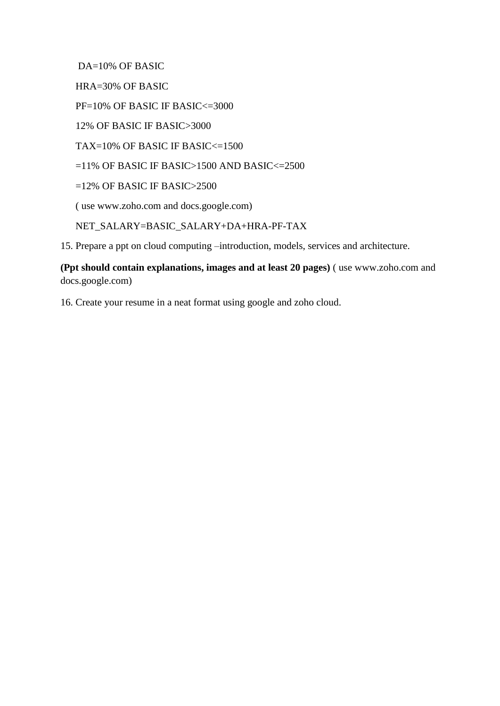DA=10% OF BASIC

HRA=30% OF BASIC

PF=10% OF BASIC IF BASIC<=3000

12% OF BASIC IF BASIC>3000

TAX=10% OF BASIC IF BASIC<=1500

 $=11\%$  OF BASIC IF BASIC>1500 AND BASIC< $=2500$ 

 $=12\%$  OF BASIC IF BASIC $>2500$ 

( use www.zoho.com and docs.google.com)

NET\_SALARY=BASIC\_SALARY+DA+HRA-PF-TAX

15. Prepare a ppt on cloud computing –introduction, models, services and architecture.

**(Ppt should contain explanations, images and at least 20 pages)** ( use www.zoho.com and docs.google.com)

16. Create your resume in a neat format using google and zoho cloud.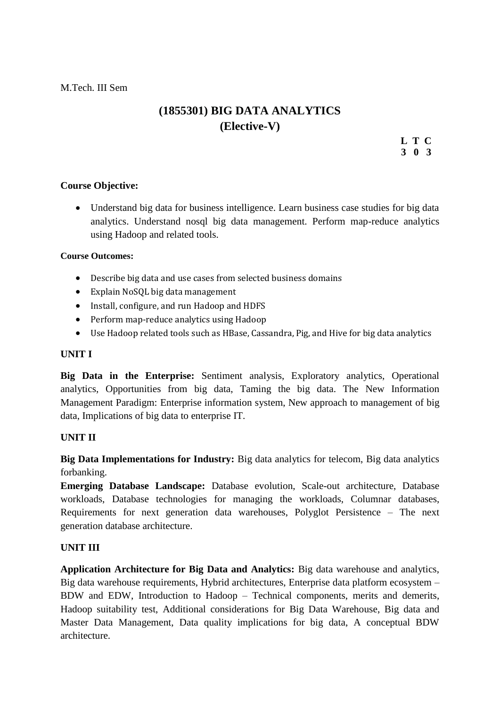M.Tech. III Sem

# **(1855301) BIG DATA ANALYTICS (Elective-V)**

**L T C 3 0 3**

# **Course Objective:**

 Understand big data for business intelligence. Learn business case studies for big data analytics. Understand nosql big data management. Perform map-reduce analytics using Hadoop and related tools.

#### **Course Outcomes:**

- Describe big data and use cases from selected business domains
- Explain NoSQL big data management
- Install, configure, and run Hadoop and HDFS
- Perform map-reduce analytics using Hadoop
- Use Hadoop related tools such as HBase, Cassandra, Pig, and Hive for big data analytics

#### **UNIT I**

**Big Data in the Enterprise:** Sentiment analysis, Exploratory analytics, Operational analytics, Opportunities from big data, Taming the big data. The New Information Management Paradigm: Enterprise information system, New approach to management of big data, Implications of big data to enterprise IT.

# **UNIT II**

**Big Data Implementations for Industry:** Big data analytics for telecom, Big data analytics forbanking.

**Emerging Database Landscape:** Database evolution, Scale-out architecture, Database workloads, Database technologies for managing the workloads, Columnar databases, Requirements for next generation data warehouses, Polyglot Persistence – The next generation database architecture.

# **UNIT III**

**Application Architecture for Big Data and Analytics:** Big data warehouse and analytics, Big data warehouse requirements, Hybrid architectures, Enterprise data platform ecosystem – BDW and EDW, Introduction to Hadoop – Technical components, merits and demerits, Hadoop suitability test, Additional considerations for Big Data Warehouse, Big data and Master Data Management, Data quality implications for big data, A conceptual BDW architecture.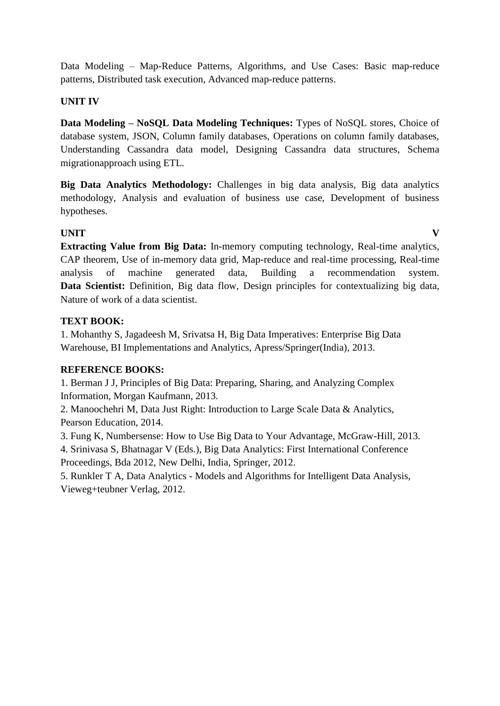Data Modeling – Map-Reduce Patterns, Algorithms, and Use Cases: Basic map-reduce patterns, Distributed task execution, Advanced map-reduce patterns.

# **UNIT IV**

**Data Modeling – NoSQL Data Modeling Techniques:** Types of NoSQL stores, Choice of database system, JSON, Column family databases, Operations on column family databases, Understanding Cassandra data model, Designing Cassandra data structures, Schema migrationapproach using ETL.

**Big Data Analytics Methodology:** Challenges in big data analysis, Big data analytics methodology, Analysis and evaluation of business use case, Development of business hypotheses.

# **UNIT V**

**Extracting Value from Big Data:** In-memory computing technology, Real-time analytics, CAP theorem, Use of in-memory data grid, Map-reduce and real-time processing, Real-time analysis of machine generated data, Building a recommendation system. **Data Scientist:** Definition, Big data flow, Design principles for contextualizing big data, Nature of work of a data scientist.

# **TEXT BOOK:**

1. Mohanthy S, Jagadeesh M, Srivatsa H, Big Data Imperatives: Enterprise Big Data Warehouse, BI Implementations and Analytics, Apress/Springer(India), 2013.

# **REFERENCE BOOKS:**

1. Berman J J, Principles of Big Data: Preparing, Sharing, and Analyzing Complex Information, Morgan Kaufmann, 2013.

2. Manoochehri M, Data Just Right: Introduction to Large Scale Data & Analytics, Pearson Education, 2014.

3. Fung K, Numbersense: How to Use Big Data to Your Advantage, McGraw-Hill, 2013.

4. Srinivasa S, Bhatnagar V (Eds.), Big Data Analytics: First International Conference Proceedings, Bda 2012, New Delhi, India, Springer, 2012.

5. Runkler T A, Data Analytics - Models and Algorithms for Intelligent Data Analysis, Vieweg+teubner Verlag, 2012.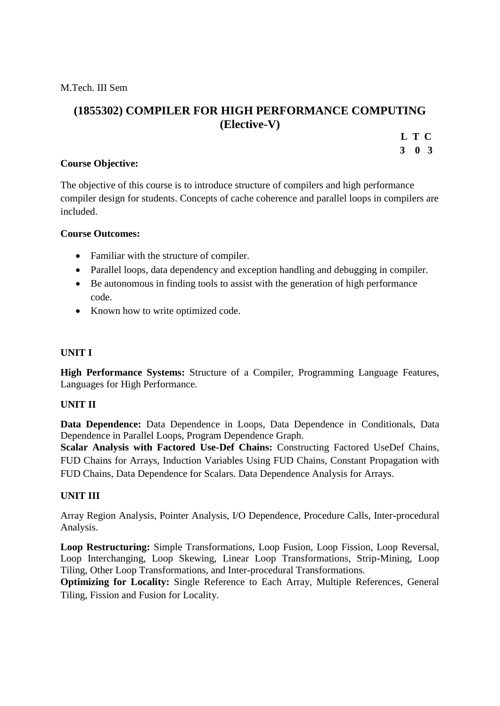M.Tech. III Sem

# **(1855302) COMPILER FOR HIGH PERFORMANCE COMPUTING (Elective-V)**

**L T C**

**3 0 3**

# **Course Objective:**

The objective of this course is to introduce structure of compilers and high performance compiler design for students. Concepts of cache coherence and parallel loops in compilers are included.

# **Course Outcomes:**

- Familiar with the structure of compiler.
- Parallel loops, data dependency and exception handling and debugging in compiler.
- Be autonomous in finding tools to assist with the generation of high performance code.
- Known how to write optimized code.

# **UNIT I**

**High Performance Systems:** Structure of a Compiler, Programming Language Features, Languages for High Performance.

# **UNIT II**

**Data Dependence:** Data Dependence in Loops, Data Dependence in Conditionals, Data Dependence in Parallel Loops, Program Dependence Graph.

**Scalar Analysis with Factored Use-Def Chains:** Constructing Factored UseDef Chains, FUD Chains for Arrays, Induction Variables Using FUD Chains, Constant Propagation with FUD Chains, Data Dependence for Scalars. Data Dependence Analysis for Arrays.

# **UNIT III**

Array Region Analysis, Pointer Analysis, I/O Dependence, Procedure Calls, Inter-procedural Analysis.

**Loop Restructuring:** Simple Transformations, Loop Fusion, Loop Fission, Loop Reversal, Loop Interchanging, Loop Skewing, Linear Loop Transformations, Strip-Mining, Loop Tiling, Other Loop Transformations, and Inter-procedural Transformations.

**Optimizing for Locality:** Single Reference to Each Array, Multiple References, General Tiling, Fission and Fusion for Locality.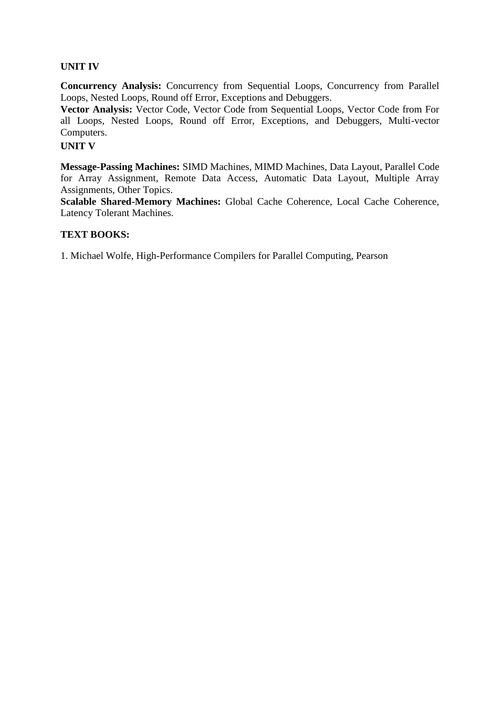#### **UNIT IV**

**Concurrency Analysis:** Concurrency from Sequential Loops, Concurrency from Parallel Loops, Nested Loops, Round off Error, Exceptions and Debuggers.

**Vector Analysis:** Vector Code, Vector Code from Sequential Loops, Vector Code from For all Loops, Nested Loops, Round off Error, Exceptions, and Debuggers, Multi-vector Computers.

# **UNIT V**

**Message-Passing Machines:** SIMD Machines, MIMD Machines, Data Layout, Parallel Code for Array Assignment, Remote Data Access, Automatic Data Layout, Multiple Array Assignments, Other Topics.

**Scalable Shared-Memory Machines:** Global Cache Coherence, Local Cache Coherence, Latency Tolerant Machines.

#### **TEXT BOOKS:**

1. Michael Wolfe, High-Performance Compilers for Parallel Computing, Pearson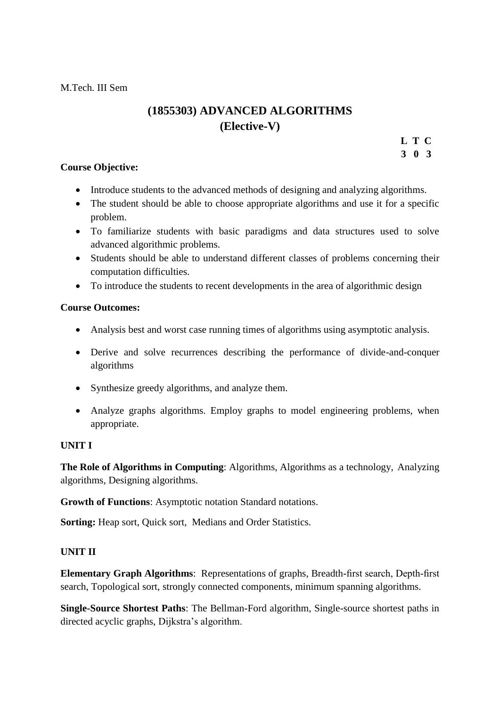# **(1855303) ADVANCED ALGORITHMS (Elective-V)**

**L T C**

**3 0 3**

#### **Course Objective:**

- Introduce students to the advanced methods of designing and analyzing algorithms.
- The student should be able to choose appropriate algorithms and use it for a specific problem.
- To familiarize students with basic paradigms and data structures used to solve advanced algorithmic problems.
- Students should be able to understand different classes of problems concerning their computation difficulties.
- To introduce the students to recent developments in the area of algorithmic design

#### **Course Outcomes:**

- Analysis best and worst case running times of algorithms using asymptotic analysis.
- Derive and solve recurrences describing the performance of divide-and-conquer algorithms
- Synthesize greedy algorithms, and analyze them.
- Analyze graphs algorithms. Employ graphs to model engineering problems, when appropriate.

# **UNIT I**

**The Role of Algorithms in Computing**: Algorithms, Algorithms as a technology, Analyzing algorithms, Designing algorithms.

**Growth of Functions**: Asymptotic notation Standard notations.

**Sorting:** Heap sort, Quick sort, Medians and Order Statistics.

# **UNIT II**

**Elementary Graph Algorithms**: Representations of graphs, Breadth-first search, Depth-first search, Topological sort, strongly connected components, minimum spanning algorithms.

**Single-Source Shortest Paths**: The Bellman-Ford algorithm, Single-source shortest paths in directed acyclic graphs, Dijkstra's algorithm.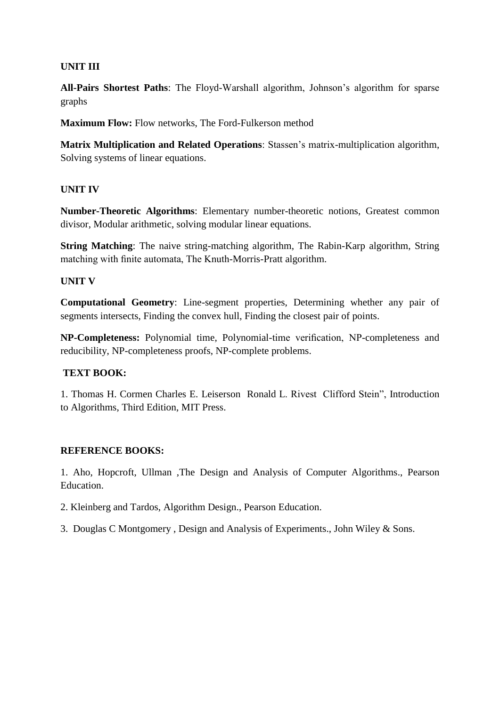# **UNIT III**

All-Pairs Shortest Paths: The Floyd-Warshall algorithm, Johnson's algorithm for sparse graphs

**Maximum Flow:** Flow networks, The Ford-Fulkerson method

**Matrix Multiplication and Related Operations**: Stassen's matrix-multiplication algorithm, Solving systems of linear equations.

# **UNIT IV**

**Number-Theoretic Algorithms**: Elementary number-theoretic notions, Greatest common divisor, Modular arithmetic, solving modular linear equations.

**String Matching**: The naive string-matching algorithm, The Rabin-Karp algorithm, String matching with finite automata, The Knuth-Morris-Pratt algorithm.

# **UNIT V**

**Computational Geometry**: Line-segment properties, Determining whether any pair of segments intersects, Finding the convex hull, Finding the closest pair of points.

**NP-Completeness:** Polynomial time, Polynomial-time verification, NP-completeness and reducibility, NP-completeness proofs, NP-complete problems.

# **TEXT BOOK:**

1. Thomas H. Cormen Charles E. Leiserson Ronald L. Rivest Clifford Stein", Introduction to Algorithms, Third Edition, MIT Press.

# **REFERENCE BOOKS:**

1. Aho, Hopcroft, Ullman ,The Design and Analysis of Computer Algorithms., Pearson Education.

- 2. Kleinberg and Tardos, Algorithm Design., Pearson Education.
- 3. Douglas C Montgomery , Design and Analysis of Experiments., John Wiley & Sons.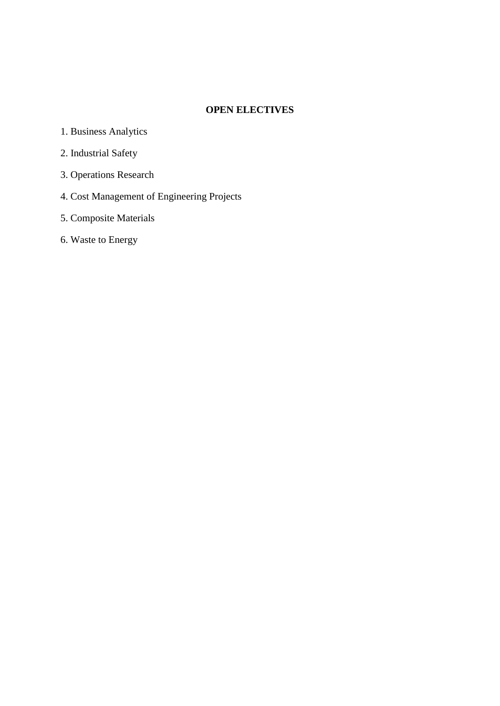#### **OPEN ELECTIVES**

- 1. Business Analytics
- 2. Industrial Safety
- 3. Operations Research
- 4. Cost Management of Engineering Projects
- 5. Composite Materials
- 6. Waste to Energy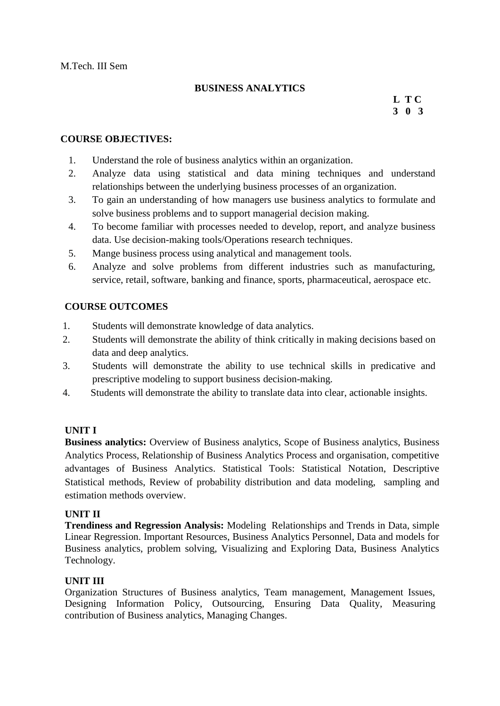#### **BUSINESS ANALYTICS**

# **L T C 3 0 3**

#### **COURSE OBJECTIVES:**

- 1. Understand the role of business analytics within an organization.
- 2. Analyze data using statistical and data mining techniques and understand relationships between the underlying business processes of an organization.
- 3. To gain an understanding of how managers use business analytics to formulate and solve business problems and to support managerial decision making.
- 4. To become familiar with processes needed to develop, report, and analyze business data. Use decision-making tools/Operations research techniques.
- 5. Mange business process using analytical and management tools.
- 6. Analyze and solve problems from different industries such as manufacturing, service, retail, software, banking and finance, sports, pharmaceutical, aerospace etc.

# **COURSE OUTCOMES**

- 1. Students will demonstrate knowledge of data analytics.
- 2. Students will demonstrate the ability of think critically in making decisions based on data and deep analytics.
- 3. Students will demonstrate the ability to use technical skills in predicative and prescriptive modeling to support business decision-making.
- 4. Students will demonstrate the ability to translate data into clear, actionable insights.

# **UNIT I**

**Business analytics:** Overview of Business analytics, Scope of Business analytics, Business Analytics Process, Relationship of Business Analytics Process and organisation, competitive advantages of Business Analytics. Statistical Tools: Statistical Notation, Descriptive Statistical methods, Review of probability distribution and data modeling, sampling and estimation methods overview.

# **UNIT II**

**Trendiness and Regression Analysis:** Modeling Relationships and Trends in Data, simple Linear Regression. Important Resources, Business Analytics Personnel, Data and models for Business analytics, problem solving, Visualizing and Exploring Data, Business Analytics Technology.

#### **UNIT III**

Organization Structures of Business analytics, Team management, Management Issues, Designing Information Policy, Outsourcing, Ensuring Data Quality, Measuring contribution of Business analytics, Managing Changes.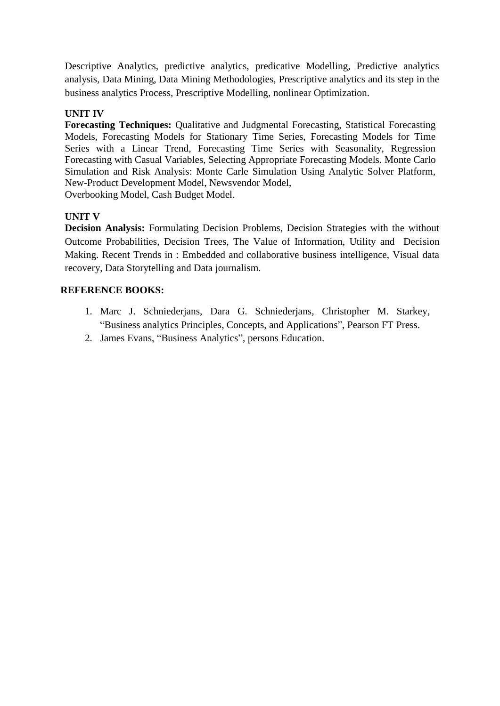Descriptive Analytics, predictive analytics, predicative Modelling, Predictive analytics analysis, Data Mining, Data Mining Methodologies, Prescriptive analytics and its step in the business analytics Process, Prescriptive Modelling, nonlinear Optimization.

# **UNIT IV**

**Forecasting Techniques:** Qualitative and Judgmental Forecasting, Statistical Forecasting Models, Forecasting Models for Stationary Time Series, Forecasting Models for Time Series with a Linear Trend, Forecasting Time Series with Seasonality, Regression Forecasting with Casual Variables, Selecting Appropriate Forecasting Models. Monte Carlo Simulation and Risk Analysis: Monte Carle Simulation Using Analytic Solver Platform, New-Product Development Model, Newsvendor Model, Overbooking Model, Cash Budget Model.

**UNIT V**

**Decision Analysis:** Formulating Decision Problems, Decision Strategies with the without Outcome Probabilities, Decision Trees, The Value of Information, Utility and Decision Making. Recent Trends in : Embedded and collaborative business intelligence, Visual data recovery, Data Storytelling and Data journalism.

- 1. Marc J. Schniederjans, Dara G. Schniederjans, Christopher M. Starkey, "Business analytics Principles, Concepts, and Applications", Pearson FT Press.
- 2. James Evans, "Business Analytics", persons Education.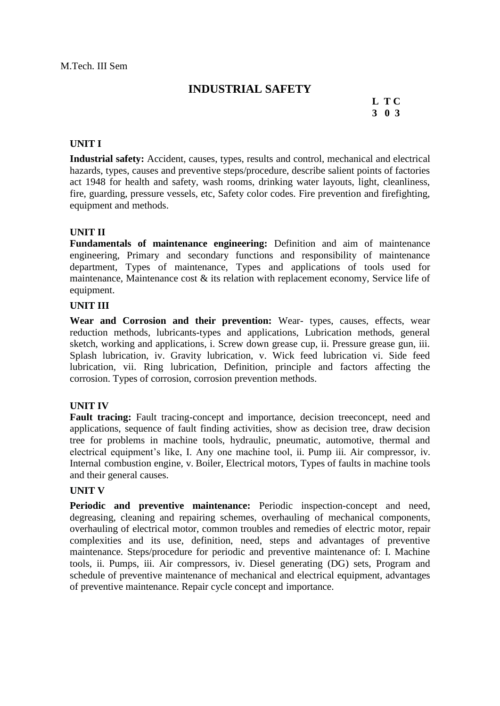# **INDUSTRIAL SAFETY**

# **L T C 3 0 3**

#### **UNIT I**

**Industrial safety:** Accident, causes, types, results and control, mechanical and electrical hazards, types, causes and preventive steps/procedure, describe salient points of factories act 1948 for health and safety, wash rooms, drinking water layouts, light, cleanliness, fire, guarding, pressure vessels, etc, Safety color codes. Fire prevention and firefighting, equipment and methods.

# **UNIT II**

**Fundamentals of maintenance engineering:** Definition and aim of maintenance engineering, Primary and secondary functions and responsibility of maintenance department, Types of maintenance, Types and applications of tools used for maintenance, Maintenance cost & its relation with replacement economy, Service life of equipment.

#### **UNIT III**

**Wear and Corrosion and their prevention:** Wear- types, causes, effects, wear reduction methods, lubricants-types and applications, Lubrication methods, general sketch, working and applications, i. Screw down grease cup, ii. Pressure grease gun, iii. Splash lubrication, iv. Gravity lubrication, v. Wick feed lubrication vi. Side feed lubrication, vii. Ring lubrication, Definition, principle and factors affecting the corrosion. Types of corrosion, corrosion prevention methods.

#### **UNIT IV**

**Fault tracing:** Fault tracing-concept and importance, decision treeconcept, need and applications, sequence of fault finding activities, show as decision tree, draw decision tree for problems in machine tools, hydraulic, pneumatic, automotive, thermal and electrical equipment's like, I. Any one machine tool, ii. Pump iii. Air compressor, iv. Internal combustion engine, v. Boiler, Electrical motors, Types of faults in machine tools and their general causes.

#### **UNIT V**

**Periodic and preventive maintenance:** Periodic inspection-concept and need, degreasing, cleaning and repairing schemes, overhauling of mechanical components, overhauling of electrical motor, common troubles and remedies of electric motor, repair complexities and its use, definition, need, steps and advantages of preventive maintenance. Steps/procedure for periodic and preventive maintenance of: I. Machine tools, ii. Pumps, iii. Air compressors, iv. Diesel generating (DG) sets, Program and schedule of preventive maintenance of mechanical and electrical equipment, advantages of preventive maintenance. Repair cycle concept and importance.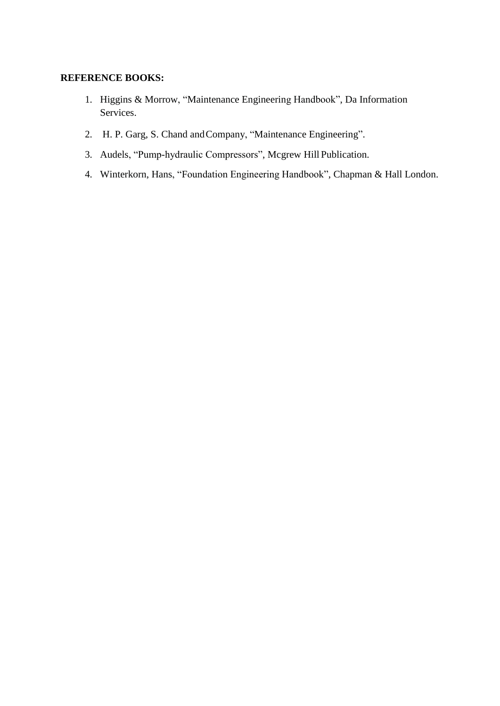- 1. Higgins & Morrow, "Maintenance Engineering Handbook", Da Information Services.
- 2. H. P. Garg, S. Chand and Company, "Maintenance Engineering".
- 3. Audels, "Pump-hydraulic Compressors", Mcgrew Hill Publication.
- 4. Winterkorn, Hans, "Foundation Engineering Handbook", Chapman & Hall London.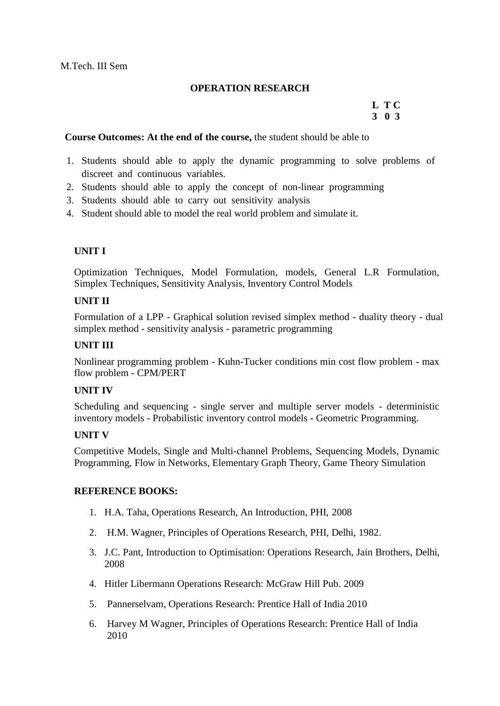# **OPERATION RESEARCH**

# **L T C 3 0 3**

#### **Course Outcomes: At the end of the course,** the student should be able to

- 1. Students should able to apply the dynamic programming to solve problems of discreet and continuous variables.
- 2. Students should able to apply the concept of non-linear programming
- 3. Students should able to carry out sensitivity analysis
- 4. Student should able to model the real world problem and simulate it.

# **UNIT I**

Optimization Techniques, Model Formulation, models, General L.R Formulation, Simplex Techniques, Sensitivity Analysis, Inventory Control Models

# **UNIT II**

Formulation of a LPP - Graphical solution revised simplex method - duality theory - dual simplex method - sensitivity analysis - parametric programming

# **UNIT III**

Nonlinear programming problem - Kuhn-Tucker conditions min cost flow problem - max flow problem - CPM/PERT

#### **UNIT IV**

Scheduling and sequencing - single server and multiple server models - deterministic inventory models - Probabilistic inventory control models - Geometric Programming.

# **UNIT V**

Competitive Models, Single and Multi-channel Problems, Sequencing Models, Dynamic Programming, Flow in Networks, Elementary Graph Theory, Game Theory Simulation

- 1. H.A. Taha, Operations Research, An Introduction, PHI, 2008
- 2. H.M. Wagner, Principles of Operations Research, PHI, Delhi, 1982.
- 3. J.C. Pant, Introduction to Optimisation: Operations Research, Jain Brothers, Delhi, 2008
- 4. Hitler Libermann Operations Research: McGraw Hill Pub. 2009
- 5. Pannerselvam, Operations Research: Prentice Hall of India 2010
- 6. Harvey M Wagner, Principles of Operations Research: Prentice Hall of India 2010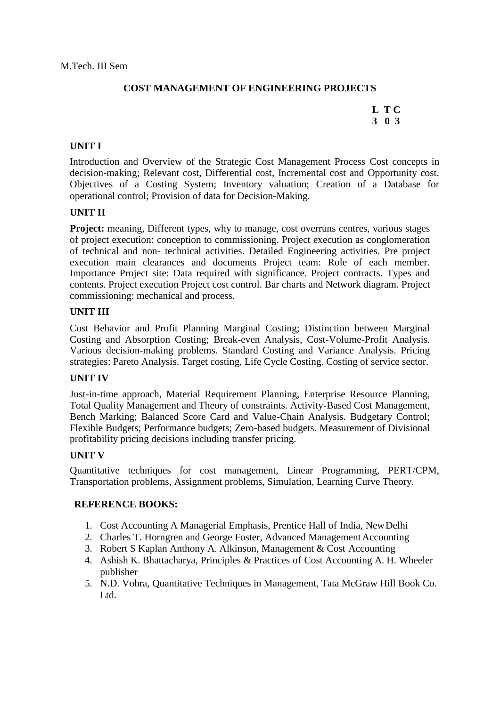# **COST MANAGEMENT OF ENGINEERING PROJECTS**

# **L T C 3 0 3**

# **UNIT I**

Introduction and Overview of the Strategic Cost Management Process Cost concepts in decision-making; Relevant cost, Differential cost, Incremental cost and Opportunity cost. Objectives of a Costing System; Inventory valuation; Creation of a Database for operational control; Provision of data for Decision-Making.

# **UNIT II**

**Project:** meaning, Different types, why to manage, cost overruns centres, various stages of project execution: conception to commissioning. Project execution as conglomeration of technical and non- technical activities. Detailed Engineering activities. Pre project execution main clearances and documents Project team: Role of each member. Importance Project site: Data required with significance. Project contracts. Types and contents. Project execution Project cost control. Bar charts and Network diagram. Project commissioning: mechanical and process.

#### **UNIT III**

Cost Behavior and Profit Planning Marginal Costing; Distinction between Marginal Costing and Absorption Costing; Break-even Analysis, Cost-Volume-Profit Analysis. Various decision-making problems. Standard Costing and Variance Analysis. Pricing strategies: Pareto Analysis. Target costing, Life Cycle Costing. Costing of service sector.

#### **UNIT IV**

Just-in-time approach, Material Requirement Planning, Enterprise Resource Planning, Total Quality Management and Theory of constraints. Activity-Based Cost Management, Bench Marking; Balanced Score Card and Value-Chain Analysis. Budgetary Control; Flexible Budgets; Performance budgets; Zero-based budgets. Measurement of Divisional profitability pricing decisions including transfer pricing.

#### **UNIT V**

Quantitative techniques for cost management, Linear Programming, PERT/CPM, Transportation problems, Assignment problems, Simulation, Learning Curve Theory.

- 1. Cost Accounting A Managerial Emphasis, Prentice Hall of India, NewDelhi
- 2. Charles T. Horngren and George Foster, Advanced Management Accounting
- 3. Robert S Kaplan Anthony A. Alkinson, Management & Cost Accounting
- 4. Ashish K. Bhattacharya, Principles & Practices of Cost Accounting A. H. Wheeler publisher
- 5. N.D. Vohra, Quantitative Techniques in Management, Tata McGraw Hill Book Co. Ltd.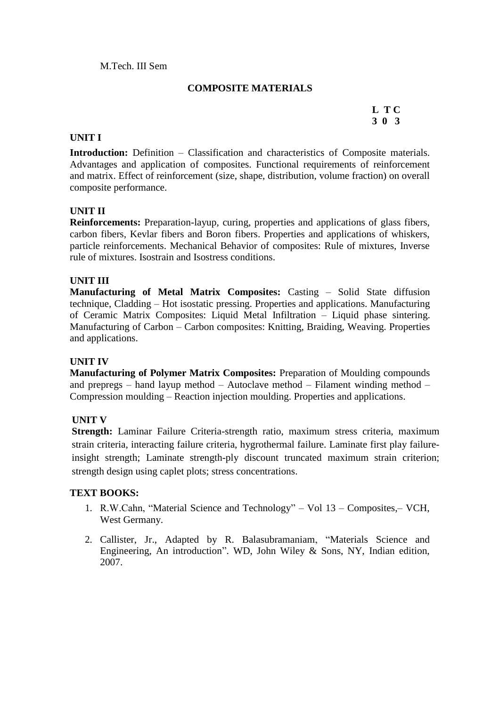# **COMPOSITE MATERIALS**

# **L T C 3 0 3**

#### **UNIT I**

**Introduction:** Definition – Classification and characteristics of Composite materials. Advantages and application of composites. Functional requirements of reinforcement and matrix. Effect of reinforcement (size, shape, distribution, volume fraction) on overall composite performance.

# **UNIT II**

**Reinforcements:** Preparation-layup, curing, properties and applications of glass fibers, carbon fibers, Kevlar fibers and Boron fibers. Properties and applications of whiskers, particle reinforcements. Mechanical Behavior of composites: Rule of mixtures, Inverse rule of mixtures. Isostrain and Isostress conditions.

# **UNIT III**

**Manufacturing of Metal Matrix Composites:** Casting – Solid State diffusion technique, Cladding – Hot isostatic pressing. Properties and applications. Manufacturing of Ceramic Matrix Composites: Liquid Metal Infiltration – Liquid phase sintering. Manufacturing of Carbon – Carbon composites: Knitting, Braiding, Weaving. Properties and applications.

# **UNIT IV**

**Manufacturing of Polymer Matrix Composites:** Preparation of Moulding compounds and prepregs – hand layup method – Autoclave method – Filament winding method – Compression moulding – Reaction injection moulding. Properties and applications.

# **UNIT V**

**Strength:** Laminar Failure Criteria-strength ratio, maximum stress criteria, maximum strain criteria, interacting failure criteria, hygrothermal failure. Laminate first play failureinsight strength; Laminate strength-ply discount truncated maximum strain criterion; strength design using caplet plots; stress concentrations.

#### **TEXT BOOKS:**

- 1. R.W.Cahn, "Material Science and Technology" Vol 13 Composites,– VCH, West Germany.
- 2. Callister, Jr., Adapted by R. Balasubramaniam, "Materials Science and Engineering, An introduction". WD, John Wiley & Sons, NY, Indian edition, 2007.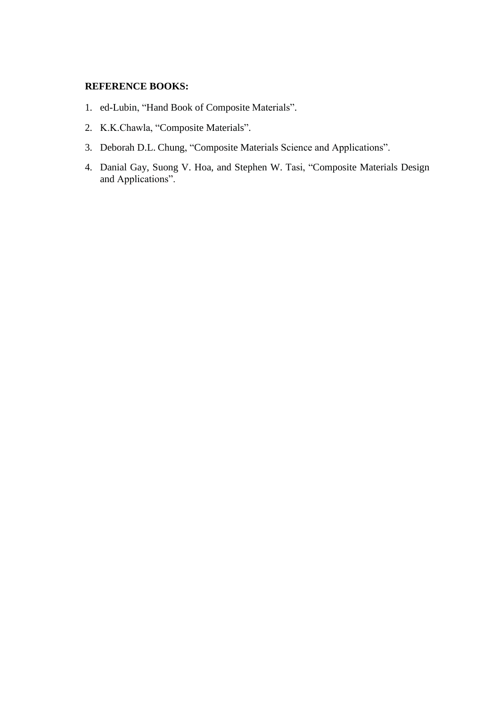- 1. ed-Lubin, "Hand Book of Composite Materials".
- 2. K.K.Chawla, "Composite Materials".
- 3. Deborah D.L. Chung, "Composite Materials Science and Applications".
- 4. Danial Gay, Suong V. Hoa, and Stephen W. Tasi, "Composite Materials Design and Applications".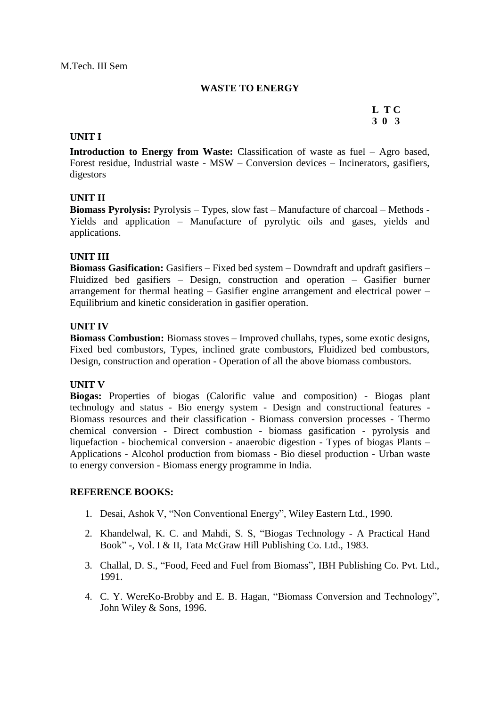#### **WASTE TO ENERGY**

# **L T C 3 0 3**

#### **UNIT I**

**Introduction to Energy from Waste:** Classification of waste as fuel – Agro based, Forest residue, Industrial waste - MSW – Conversion devices – Incinerators, gasifiers, digestors

#### **UNIT II**

**Biomass Pyrolysis:** Pyrolysis – Types, slow fast – Manufacture of charcoal – Methods - Yields and application – Manufacture of pyrolytic oils and gases, yields and applications.

#### **UNIT III**

**Biomass Gasification:** Gasifiers – Fixed bed system – Downdraft and updraft gasifiers – Fluidized bed gasifiers – Design, construction and operation – Gasifier burner arrangement for thermal heating – Gasifier engine arrangement and electrical power – Equilibrium and kinetic consideration in gasifier operation.

#### **UNIT IV**

**Biomass Combustion:** Biomass stoves – Improved chullahs, types, some exotic designs, Fixed bed combustors, Types, inclined grate combustors, Fluidized bed combustors, Design, construction and operation - Operation of all the above biomass combustors.

#### **UNIT V**

**Biogas:** Properties of biogas (Calorific value and composition) - Biogas plant technology and status - Bio energy system - Design and constructional features - Biomass resources and their classification - Biomass conversion processes - Thermo chemical conversion - Direct combustion - biomass gasification - pyrolysis and liquefaction - biochemical conversion - anaerobic digestion - Types of biogas Plants – Applications - Alcohol production from biomass - Bio diesel production - Urban waste to energy conversion - Biomass energy programme in India.

- 1. Desai, Ashok V, "Non Conventional Energy", Wiley Eastern Ltd., 1990.
- 2. Khandelwal, K. C. and Mahdi, S. S, "Biogas Technology A Practical Hand Book" -, Vol. I & II, Tata McGraw Hill Publishing Co. Ltd., 1983.
- 3. Challal, D. S., "Food, Feed and Fuel from Biomass", IBH Publishing Co. Pvt. Ltd., 1991.
- 4. C. Y. WereKo-Brobby and E. B. Hagan, "Biomass Conversion and Technology", John Wiley & Sons, 1996.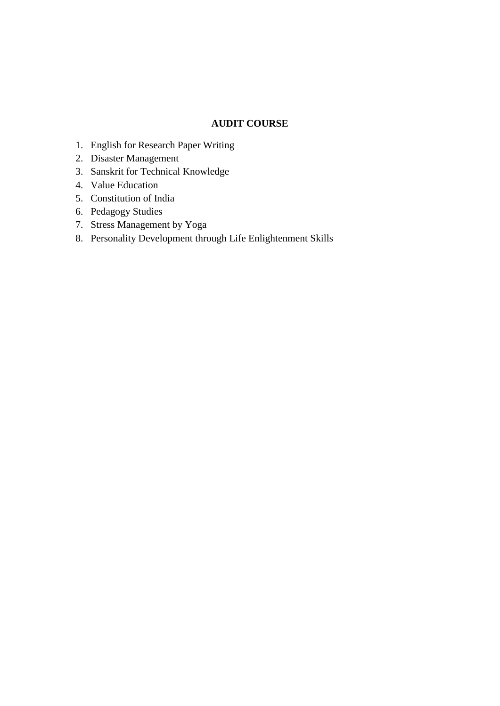#### **AUDIT COURSE**

- 1. English for Research Paper Writing
- 2. Disaster Management
- 3. Sanskrit for Technical Knowledge
- 4. Value Education
- 5. Constitution of India
- 6. Pedagogy Studies
- 7. Stress Management by Yoga
- 8. Personality Development through Life Enlightenment Skills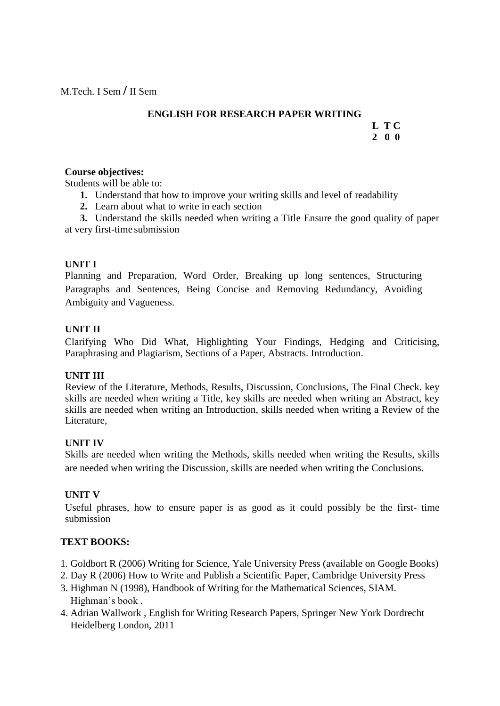# **ENGLISH FOR RESEARCH PAPER WRITING**

#### **L T C 2 0 0**

#### **Course objectives:**

Students will be able to:

- **1.** Understand that how to improve your writing skills and level of readability
- **2.** Learn about what to write in each section

**3.** Understand the skills needed when writing a Title Ensure the good quality of paper at very first-time submission

# **UNIT I**

Planning and Preparation, Word Order, Breaking up long sentences, Structuring Paragraphs and Sentences, Being Concise and Removing Redundancy, Avoiding Ambiguity and Vagueness.

# **UNIT II**

Clarifying Who Did What, Highlighting Your Findings, Hedging and Criticising, Paraphrasing and Plagiarism, Sections of a Paper, Abstracts. Introduction.

# **UNIT III**

Review of the Literature, Methods, Results, Discussion, Conclusions, The Final Check. key skills are needed when writing a Title, key skills are needed when writing an Abstract, key skills are needed when writing an Introduction, skills needed when writing a Review of the Literature,

# **UNIT IV**

Skills are needed when writing the Methods, skills needed when writing the Results, skills are needed when writing the Discussion, skills are needed when writing the Conclusions.

# **UNIT V**

Useful phrases, how to ensure paper is as good as it could possibly be the first- time submission

# **TEXT BOOKS:**

- 1. Goldbort R (2006) Writing for Science, Yale University Press (available on Google Books)
- 2. Day R (2006) How to Write and Publish a Scientific Paper, Cambridge University Press
- 3. Highman N (1998), Handbook of Writing for the Mathematical Sciences, SIAM. Highman's book.
- 4. Adrian Wallwork , English for Writing Research Papers, Springer New York Dordrecht Heidelberg London, 2011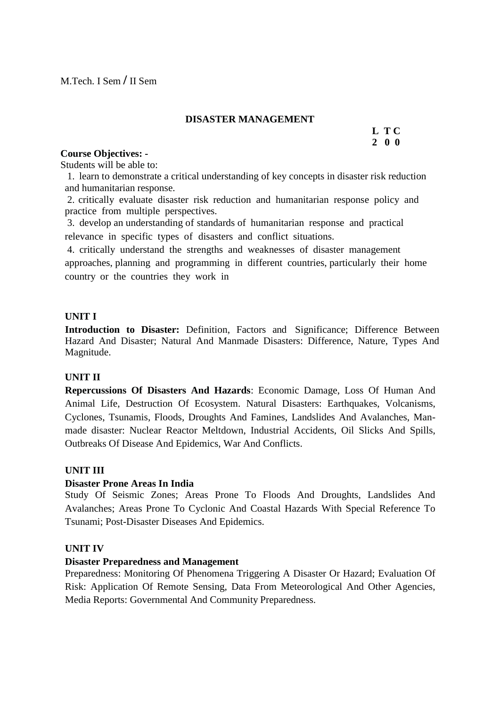#### **DISASTER MANAGEMENT**

#### **L T C 2 0 0**

#### **Course Objectives: -**

Students will be able to:

1. learn to demonstrate a critical understanding of key concepts in disaster risk reduction and humanitarian response.

2. critically evaluate disaster risk reduction and humanitarian response policy and practice from multiple perspectives.

3. develop an understanding of standards of humanitarian response and practical relevance in specific types of disasters and conflict situations.

4. critically understand the strengths and weaknesses of disaster management approaches, planning and programming in different countries, particularly their home country or the countries they work in

# **UNIT I**

**Introduction to Disaster:** Definition, Factors and Significance; Difference Between Hazard And Disaster; Natural And Manmade Disasters: Difference, Nature, Types And Magnitude.

# **UNIT II**

**Repercussions Of Disasters And Hazards**: Economic Damage, Loss Of Human And Animal Life, Destruction Of Ecosystem. Natural Disasters: Earthquakes, Volcanisms, Cyclones, Tsunamis, Floods, Droughts And Famines, Landslides And Avalanches, Manmade disaster: Nuclear Reactor Meltdown, Industrial Accidents, Oil Slicks And Spills, Outbreaks Of Disease And Epidemics, War And Conflicts.

# **UNIT III**

#### **Disaster Prone Areas In India**

Study Of Seismic Zones; Areas Prone To Floods And Droughts, Landslides And Avalanches; Areas Prone To Cyclonic And Coastal Hazards With Special Reference To Tsunami; Post-Disaster Diseases And Epidemics.

# **UNIT IV**

# **Disaster Preparedness and Management**

Preparedness: Monitoring Of Phenomena Triggering A Disaster Or Hazard; Evaluation Of Risk: Application Of Remote Sensing, Data From Meteorological And Other Agencies, Media Reports: Governmental And Community Preparedness.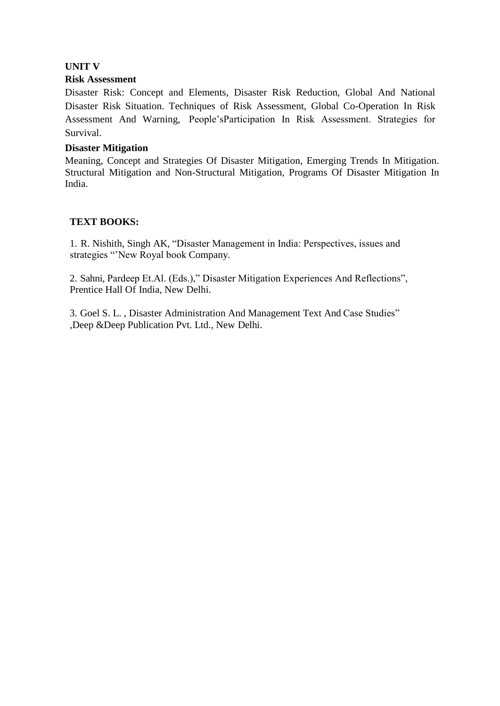# **UNIT V**

#### **Risk Assessment**

Disaster Risk: Concept and Elements, Disaster Risk Reduction, Global And National Disaster Risk Situation. Techniques of Risk Assessment, Global Co-Operation In Risk Assessment And Warning, People"sParticipation In Risk Assessment. Strategies for Survival.

#### **Disaster Mitigation**

Meaning, Concept and Strategies Of Disaster Mitigation, Emerging Trends In Mitigation. Structural Mitigation and Non-Structural Mitigation, Programs Of Disaster Mitigation In India.

# **TEXT BOOKS:**

1. R. Nishith, Singh AK, "Disaster Management in India: Perspectives, issues and strategies "New Royal book Company.

2. Sahni, Pardeep Et.Al. (Eds.)," Disaster Mitigation Experiences And Reflections", Prentice Hall Of India, New Delhi.

3. Goel S. L. , Disaster Administration And Management Text And Case Studies" ,Deep &Deep Publication Pvt. Ltd., New Delhi.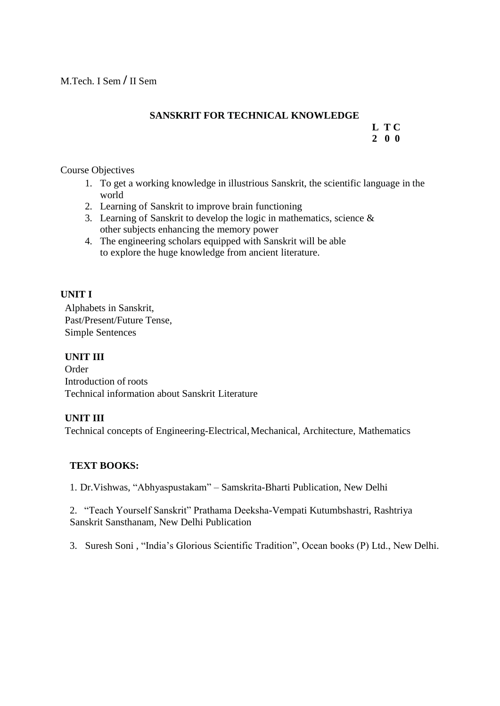# **SANSKRIT FOR TECHNICAL KNOWLEDGE**

#### **L T C 2 0 0**

# Course Objectives

- 1. To get a working knowledge in illustrious Sanskrit, the scientific language in the world
- 2. Learning of Sanskrit to improve brain functioning
- 3. Learning of Sanskrit to develop the logic in mathematics, science & other subjects enhancing the memory power
- 4. The engineering scholars equipped with Sanskrit will be able to explore the huge knowledge from ancient literature.

# **UNIT I**

Alphabets in Sanskrit, Past/Present/Future Tense, Simple Sentences

# **UNIT III**

Order Introduction of roots Technical information about Sanskrit Literature

# **UNIT III**

Technical concepts of Engineering-Electrical,Mechanical, Architecture, Mathematics

# **TEXT BOOKS:**

1. Dr.Vishwas, "Abhyaspustakam" – Samskrita-Bharti Publication, New Delhi

2. "Teach Yourself Sanskrit" Prathama Deeksha-Vempati Kutumbshastri, Rashtriya Sanskrit Sansthanam, New Delhi Publication

3. Suresh Soni , "India"s Glorious Scientific Tradition", Ocean books (P) Ltd., New Delhi.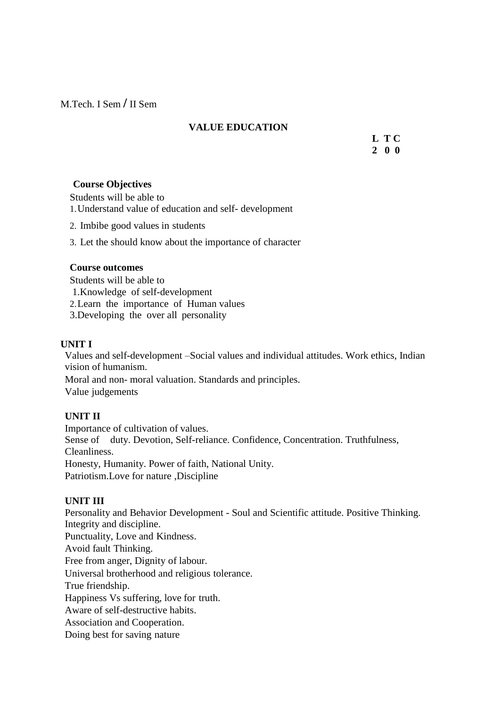M.Tech. I Sem **/** II Sem

# **VALUE EDUCATION**

**L T C 2 0 0**

# **Course Objectives**

Students will be able to 1.Understand value of education and self- development

- 2. Imbibe good values in students
- 3. Let the should know about the importance of character

#### **Course outcomes**

Students will be able to

- 1.Knowledge of self-development
- 2.Learn the importance of Human values
- 3.Developing the over all personality

#### **UNIT I**

Values and self-development –Social values and individual attitudes. Work ethics, Indian vision of humanism.

Moral and non- moral valuation. Standards and principles. Value judgements

# **UNIT II**

Importance of cultivation of values. Sense of duty. Devotion, Self-reliance. Confidence, Concentration. Truthfulness, Cleanliness. Honesty, Humanity. Power of faith, National Unity. Patriotism.Love for nature ,Discipline

# **UNIT III**

Personality and Behavior Development - Soul and Scientific attitude. Positive Thinking. Integrity and discipline. Punctuality, Love and Kindness. Avoid fault Thinking. Free from anger, Dignity of labour. Universal brotherhood and religious tolerance. True friendship. Happiness Vs suffering, love for truth. Aware of self-destructive habits. Association and Cooperation. Doing best for saving nature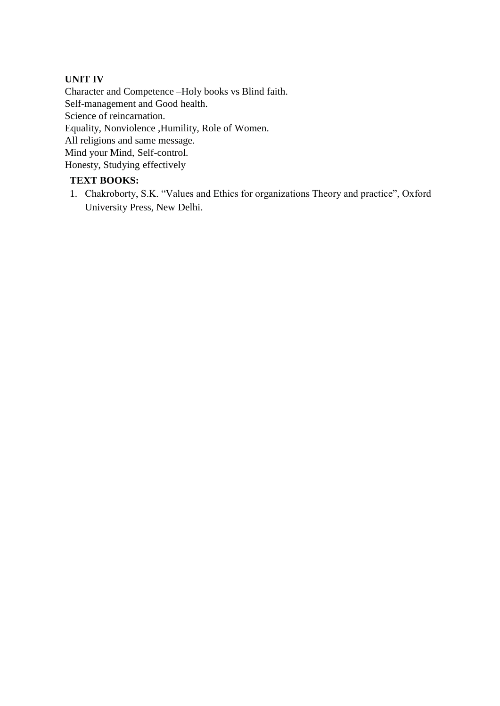# **UNIT IV**

Character and Competence –Holy books vs Blind faith. Self-management and Good health. Science of reincarnation. Equality, Nonviolence ,Humility, Role of Women. All religions and same message. Mind your Mind, Self-control. Honesty, Studying effectively

# **TEXT BOOKS:**

1. Chakroborty, S.K. "Values and Ethics for organizations Theory and practice", Oxford University Press, New Delhi.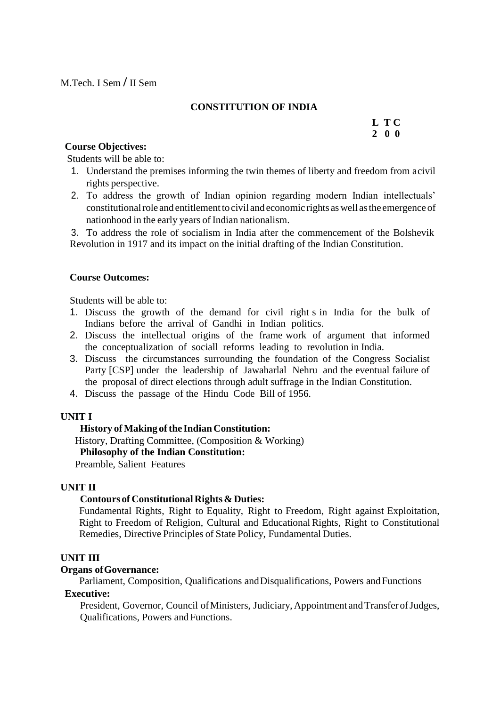# **CONSTITUTION OF INDIA**

#### **L T C 2 0 0**

#### **Course Objectives:**

Students will be able to:

- 1. Understand the premises informing the twin themes of liberty and freedom from acivil rights perspective.
- 2. To address the growth of Indian opinion regarding modern Indian intellectuals" constitutional role and entitlement to civil and economic rights as well as the emergence of nationhood in the early years of Indian nationalism.

3. To address the role of socialism in India after the commencement of the Bolshevik Revolution in 1917 and its impact on the initial drafting of the Indian Constitution.

#### **Course Outcomes:**

Students will be able to:

- 1. Discuss the growth of the demand for civil right s in India for the bulk of Indians before the arrival of Gandhi in Indian politics.
- 2. Discuss the intellectual origins of the frame work of argument that informed the conceptualization of sociall reforms leading to revolution in India.
- 3. Discuss the circumstances surrounding the foundation of the Congress Socialist Party [CSP] under the leadership of Jawaharlal Nehru and the eventual failure of the proposal of direct elections through adult suffrage in the Indian Constitution.
- 4. Discuss the passage of the Hindu Code Bill of 1956.

#### **UNIT I**

#### **History** of Making of the Indian Constitution:

History, Drafting Committee, (Composition & Working)

#### **Philosophy of the Indian Constitution:**

Preamble, Salient Features

#### **UNIT II**

#### **Contours of Constitutional Rights & Duties:**

Fundamental Rights, Right to Equality, Right to Freedom, Right against Exploitation, Right to Freedom of Religion, Cultural and Educational Rights, Right to Constitutional Remedies, Directive Principles of State Policy, Fundamental Duties.

#### **UNIT III**

#### **Organs ofGovernance:**

Parliament, Composition, Qualifications andDisqualifications, Powers andFunctions

# **Executive:**

President, Governor, Council of Ministers, Judiciary, Appointment and Transfer of Judges, Qualifications, Powers and Functions.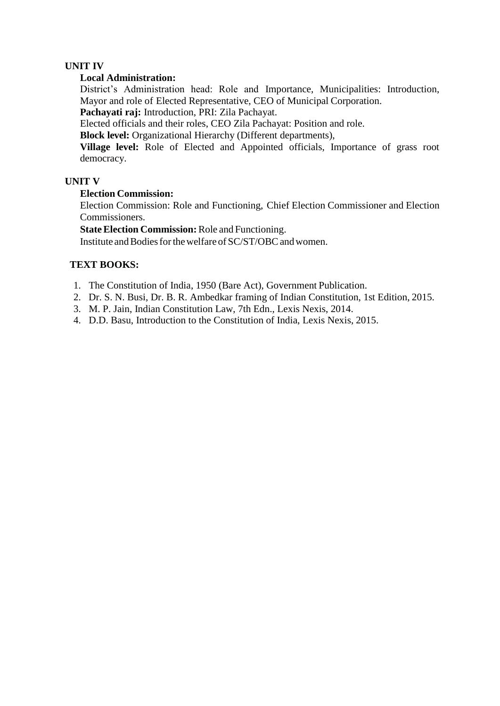# **UNIT IV**

#### **Local Administration:**

District"s Administration head: Role and Importance, Municipalities: Introduction, Mayor and role of Elected Representative, CEO of Municipal Corporation.

**Pachayati raj:** Introduction, PRI: Zila Pachayat.

Elected officials and their roles, CEO Zila Pachayat: Position and role.

**Block level:** Organizational Hierarchy (Different departments),

**Village level:** Role of Elected and Appointed officials, Importance of grass root democracy.

#### **UNIT V**

#### **Election Commission:**

Election Commission: Role and Functioning, Chief Election Commissioner and Election Commissioners.

**State Election Commission:** Role and Functioning.

Institute and Bodies for the welfare of SC/ST/OBC and women.

# **TEXT BOOKS:**

- 1. The Constitution of India, 1950 (Bare Act), Government Publication.
- 2. Dr. S. N. Busi, Dr. B. R. Ambedkar framing of Indian Constitution, 1st Edition, 2015.
- 3. M. P. Jain, Indian Constitution Law, 7th Edn., Lexis Nexis, 2014.
- 4. D.D. Basu, Introduction to the Constitution of India, Lexis Nexis, 2015.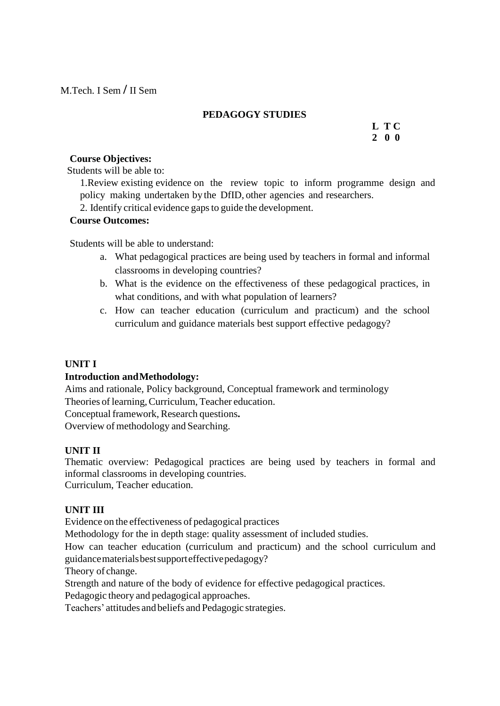M.Tech. I Sem **/** II Sem

# **PEDAGOGY STUDIES**

**L T C 2 0 0**

#### **Course Objectives:**

Students will be able to:

1.Review existing evidence on the review topic to inform programme design and policy making undertaken by the DfID, other agencies and researchers.

2. Identify critical evidence gapsto guide the development.

#### **Course Outcomes:**

Students will be able to understand:

- a. What pedagogical practices are being used by teachers in formal and informal classrooms in developing countries?
- b. What is the evidence on the effectiveness of these pedagogical practices, in what conditions, and with what population of learners?
- c. How can teacher education (curriculum and practicum) and the school curriculum and guidance materials best support effective pedagogy?

# **UNIT I**

# **Introduction andMethodology:**

Aims and rationale, Policy background, Conceptual framework and terminology Theories of learning,Curriculum, Teacher education.

Conceptual framework, Research questions**.**

Overview of methodology and Searching.

# **UNIT II**

Thematic overview: Pedagogical practices are being used by teachers in formal and informal classrooms in developing countries.

Curriculum, Teacher education.

# **UNIT III**

Evidence on the effectiveness of pedagogical practices

Methodology for the in depth stage: quality assessment of included studies.

How can teacher education (curriculum and practicum) and the school curriculum and guidancematerialsbestsupporteffectivepedagogy?

Theory of change.

Strength and nature of the body of evidence for effective pedagogical practices.

Pedagogic theory and pedagogical approaches.

Teachers" attitudes and beliefs and Pedagogic strategies.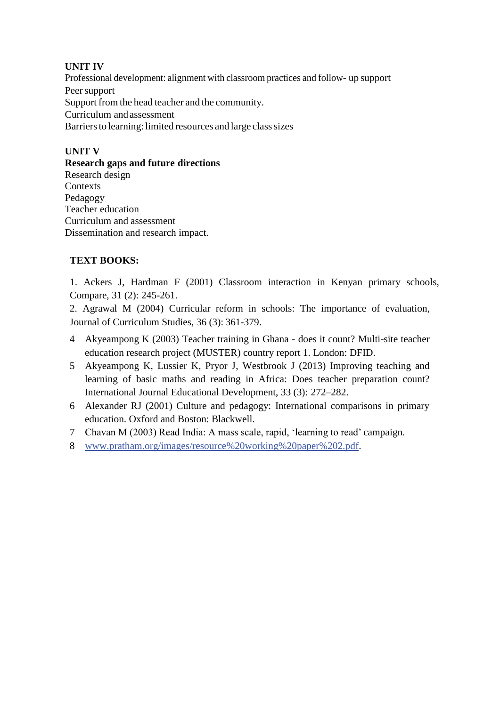# **UNIT IV**

Professional development: alignment with classroom practices and follow- up support Peer support Support from the head teacher and the community. Curriculum andassessment Barriers to learning: limited resources and large class sizes

## **UNIT V**

**Research gaps and future directions** Research design **Contexts** Pedagogy Teacher education Curriculum and assessment Dissemination and research impact.

# **TEXT BOOKS:**

1. Ackers J, Hardman F (2001) Classroom interaction in Kenyan primary schools, Compare, 31 (2): 245-261.

2. Agrawal M (2004) Curricular reform in schools: The importance of evaluation, Journal of Curriculum Studies, 36 (3): 361-379.

- 4 Akyeampong K (2003) Teacher training in Ghana does it count? Multi-site teacher education research project (MUSTER) country report 1. London: DFID.
- 5 Akyeampong K, Lussier K, Pryor J, Westbrook J (2013) Improving teaching and learning of basic maths and reading in Africa: Does teacher preparation count? International Journal Educational Development, 33 (3): 272–282.
- 6 Alexander RJ (2001) Culture and pedagogy: International comparisons in primary education. Oxford and Boston: Blackwell.
- 7 Chavan M (2003) Read India: A mass scale, rapid, "learning to read" campaign.
- 8 [www.pratham.org/images/resource%20working%20paper%202.pdf.](http://www.pratham.org/images/resource%20working%20paper%202.pdf)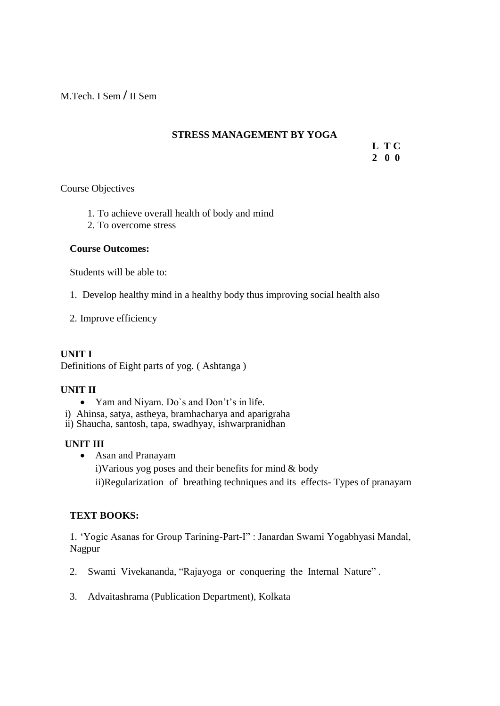M.Tech. I Sem **/** II Sem

## **STRESS MANAGEMENT BY YOGA**

**L T C 2 0 0**

Course Objectives

- 1. To achieve overall health of body and mind
- 2. To overcome stress

### **Course Outcomes:**

Students will be able to:

1. Develop healthy mind in a healthy body thus improving social health also

2. Improve efficiency

## **UNIT I**

Definitions of Eight parts of yog. ( Ashtanga )

### **UNIT II**

- Yam and Niyam. Do's and Don't's in life.
- i) Ahinsa, satya, astheya, bramhacharya and aparigraha

ii) Shaucha, santosh, tapa, swadhyay, ishwarpranidhan

### **UNIT III**

Asan and Pranayam

i)Various yog poses and their benefits for mind & body ii)Regularization of breathing techniques and its effects- Types of pranayam

## **TEXT BOOKS:**

1. "Yogic Asanas for Group Tarining-Part-I" : Janardan Swami Yogabhyasi Mandal, Nagpur

- 2. Swami Vivekananda, "Rajayoga or conquering the Internal Nature" .
- 3. Advaitashrama (Publication Department), Kolkata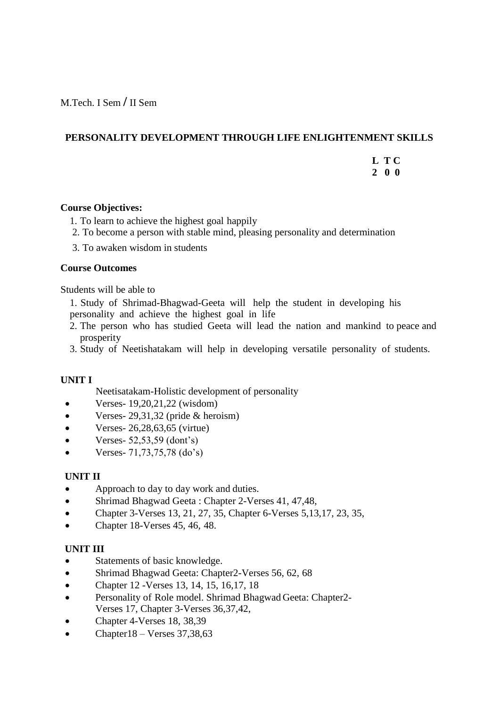M.Tech. I Sem **/** II Sem

### **PERSONALITY DEVELOPMENT THROUGH LIFE ENLIGHTENMENT SKILLS**

**L T C 2 0 0**

### **Course Objectives:**

- 1. To learn to achieve the highest goal happily
- 2. To become a person with stable mind, pleasing personality and determination
- 3. To awaken wisdom in students

### **Course Outcomes**

Students will be able to

- 1. Study of Shrimad-Bhagwad-Geeta will help the student in developing his personality and achieve the highest goal in life
- 2. The person who has studied Geeta will lead the nation and mankind to peace and prosperity
- 3. Study of Neetishatakam will help in developing versatile personality of students.

## **UNIT I**

Neetisatakam-Holistic development of personality

- Verses-  $19,20,21,22$  (wisdom)
- Verses- 29,31,32 (pride & heroism)
- $\bullet$  Verses- 26,28,63,65 (virtue)
- Verses- 52,53,59 (dont"s)
- Verses- 71,73,75,78 (do"s)

### **UNIT II**

- Approach to day to day work and duties.
- Shrimad Bhagwad Geeta : Chapter 2-Verses 41, 47,48,
- Chapter 3-Verses 13, 21, 27, 35, Chapter 6-Verses 5, 13, 17, 23, 35,
- Chapter 18-Verses 45, 46, 48.

### **UNIT III**

- Statements of basic knowledge.
- Shrimad Bhagwad Geeta: Chapter2-Verses 56, 62, 68
- Chapter 12 -Verses 13, 14, 15, 16,17, 18
- Personality of Role model. Shrimad Bhagwad Geeta: Chapter2- Verses 17, Chapter 3-Verses 36,37,42,
- Chapter 4-Verses 18, 38,39
- Chapter18 Verses 37,38,63